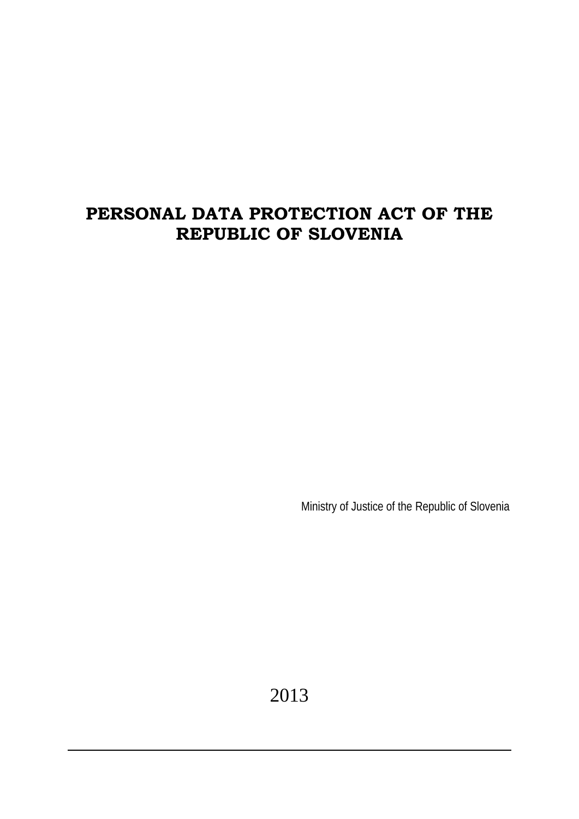# **PERSONAL DATA PROTECTION ACT OF THE REPUBLIC OF SLOVENIA**

Ministry of Justice of the Republic of Slovenia

2013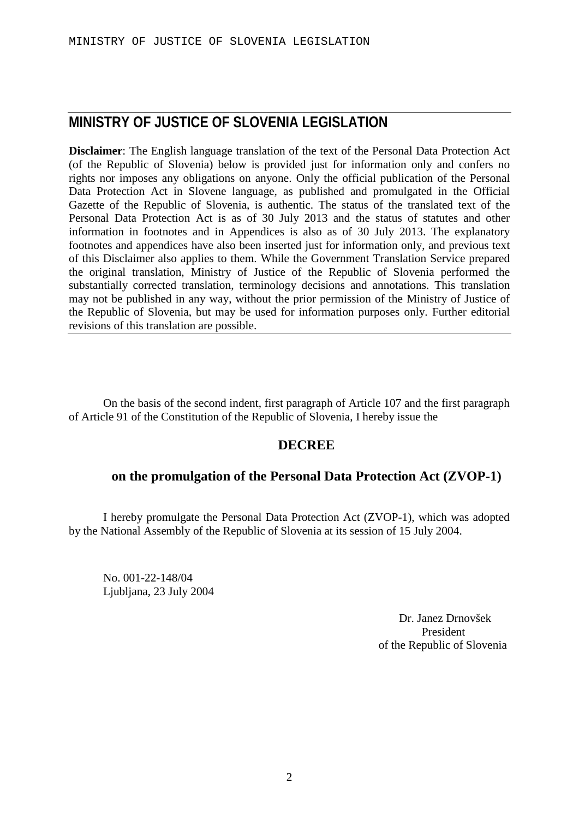# **MINISTRY OF JUSTICE OF SLOVENIA LEGISLATION**

**Disclaimer**: The English language translation of the text of the Personal Data Protection Act (of the Republic of Slovenia) below is provided just for information only and confers no rights nor imposes any obligations on anyone. Only the official publication of the Personal Data Protection Act in Slovene language, as published and promulgated in the Official Gazette of the Republic of Slovenia, is authentic. The status of the translated text of the Personal Data Protection Act is as of 30 July 2013 and the status of statutes and other information in footnotes and in Appendices is also as of 30 July 2013. The explanatory footnotes and appendices have also been inserted just for information only, and previous text of this Disclaimer also applies to them. While the Government Translation Service prepared the original translation, Ministry of Justice of the Republic of Slovenia performed the substantially corrected translation, terminology decisions and annotations. This translation may not be published in any way, without the prior permission of the Ministry of Justice of the Republic of Slovenia, but may be used for information purposes only. Further editorial revisions of this translation are possible.

On the basis of the second indent, first paragraph of Article 107 and the first paragraph of Article 91 of the Constitution of the Republic of Slovenia, I hereby issue the

# **DECREE**

# **on the promulgation of the Personal Data Protection Act (ZVOP-1)**

I hereby promulgate the Personal Data Protection Act (ZVOP-1), which was adopted by the National Assembly of the Republic of Slovenia at its session of 15 July 2004.

No. 001-22-148/04 Ljubljana, 23 July 2004

> Dr. Janez Drnovšek President of the Republic of Slovenia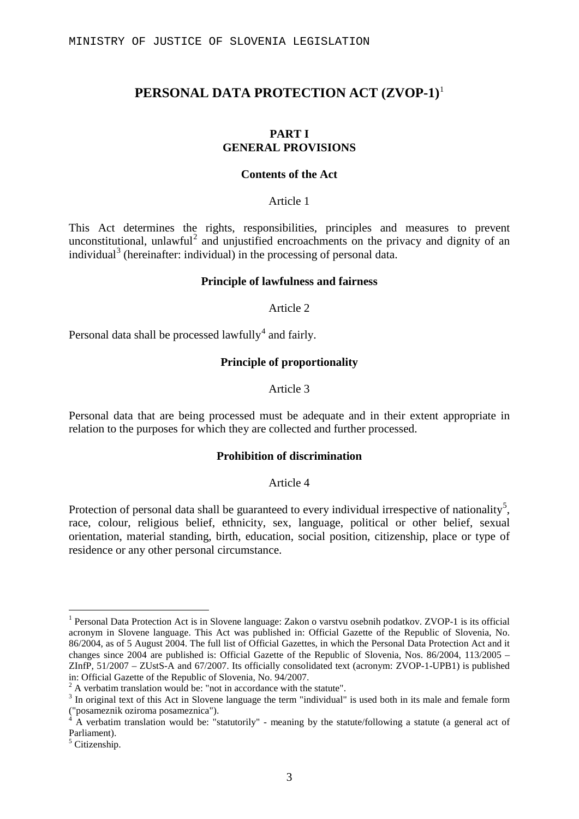# **PERSONAL DATA PROTECTION ACT (ZVOP-1)**[1](#page-2-0)

#### **PART I GENERAL PROVISIONS**

#### **Contents of the Act**

Article 1

This Act determines the rights, responsibilities, principles and measures to prevent unconstitutional, unlawful<sup>[2](#page-2-1)</sup> and unjustified encroachments on the privacy and dignity of an individual<sup>[3](#page-2-2)</sup> (hereinafter: individual) in the processing of personal data.

#### **Principle of lawfulness and fairness**

Article 2

Personal data shall be processed lawfully<sup>[4](#page-2-3)</sup> and fairly.

#### **Principle of proportionality**

Article 3

Personal data that are being processed must be adequate and in their extent appropriate in relation to the purposes for which they are collected and further processed.

#### **Prohibition of discrimination**

#### Article 4

Protection of personal data shall be guaranteed to every individual irrespective of nationality<sup>[5](#page-2-4)</sup>, race, colour, religious belief, ethnicity, sex, language, political or other belief, sexual orientation, material standing, birth, education, social position, citizenship, place or type of residence or any other personal circumstance.

<span id="page-2-0"></span> <sup>1</sup> Personal Data Protection Act is in Slovene language: Zakon o varstvu osebnih podatkov. ZVOP-1 is its official acronym in Slovene language. This Act was published in: Official Gazette of the Republic of Slovenia, No. 86/2004, as of 5 August 2004. The full list of Official Gazettes, in which the Personal Data Protection Act and it changes since 2004 are published is: Official Gazette of the Republic of Slovenia, Nos. 86/2004, 113/2005 – ZInfP, 51/2007 – ZUstS-A and 67/2007. Its officially consolidated text (acronym: ZVOP-1-UPB1) is published in: Official Gazette of the Republic of Slovenia, No. 94/2007.

<span id="page-2-1"></span> $2 A$  verbatim translation would be: "not in accordance with the statute".

<span id="page-2-2"></span><sup>&</sup>lt;sup>3</sup> In original text of this Act in Slovene language the term "individual" is used both in its male and female form ("posameznik oziroma posameznica").

<span id="page-2-3"></span><sup>4</sup> A verbatim translation would be: "statutorily" - meaning by the statute/following a statute (a general act of Parliament).

<span id="page-2-4"></span><sup>5</sup> Citizenship.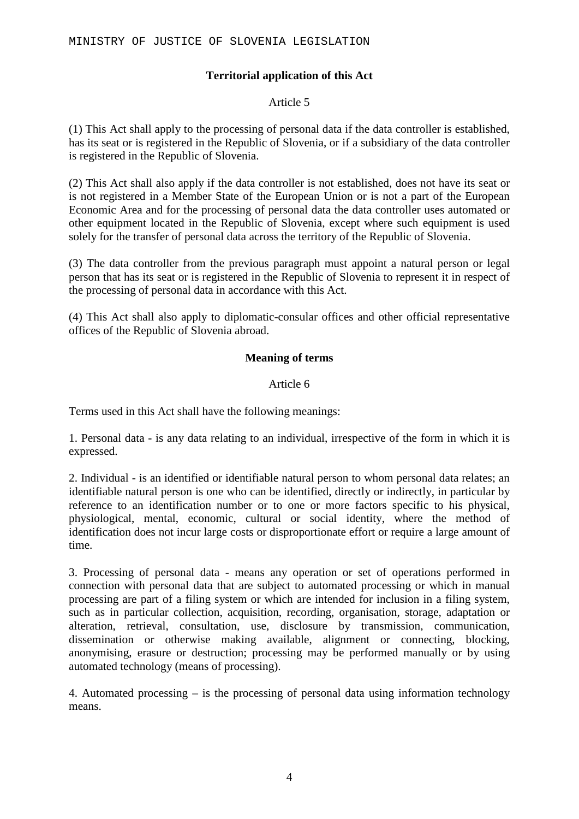## **Territorial application of this Act**

### Article 5

(1) This Act shall apply to the processing of personal data if the data controller is established, has its seat or is registered in the Republic of Slovenia, or if a subsidiary of the data controller is registered in the Republic of Slovenia.

(2) This Act shall also apply if the data controller is not established, does not have its seat or is not registered in a Member State of the European Union or is not a part of the European Economic Area and for the processing of personal data the data controller uses automated or other equipment located in the Republic of Slovenia, except where such equipment is used solely for the transfer of personal data across the territory of the Republic of Slovenia.

(3) The data controller from the previous paragraph must appoint a natural person or legal person that has its seat or is registered in the Republic of Slovenia to represent it in respect of the processing of personal data in accordance with this Act.

(4) This Act shall also apply to diplomatic-consular offices and other official representative offices of the Republic of Slovenia abroad.

### **Meaning of terms**

### Article 6

Terms used in this Act shall have the following meanings:

1. Personal data - is any data relating to an individual, irrespective of the form in which it is expressed.

2. Individual - is an identified or identifiable natural person to whom personal data relates; an identifiable natural person is one who can be identified, directly or indirectly, in particular by reference to an identification number or to one or more factors specific to his physical, physiological, mental, economic, cultural or social identity, where the method of identification does not incur large costs or disproportionate effort or require a large amount of time.

3. Processing of personal data - means any operation or set of operations performed in connection with personal data that are subject to automated processing or which in manual processing are part of a filing system or which are intended for inclusion in a filing system, such as in particular collection, acquisition, recording, organisation, storage, adaptation or alteration, retrieval, consultation, use, disclosure by transmission, communication, dissemination or otherwise making available, alignment or connecting, blocking, anonymising, erasure or destruction; processing may be performed manually or by using automated technology (means of processing).

4. Automated processing – is the processing of personal data using information technology means.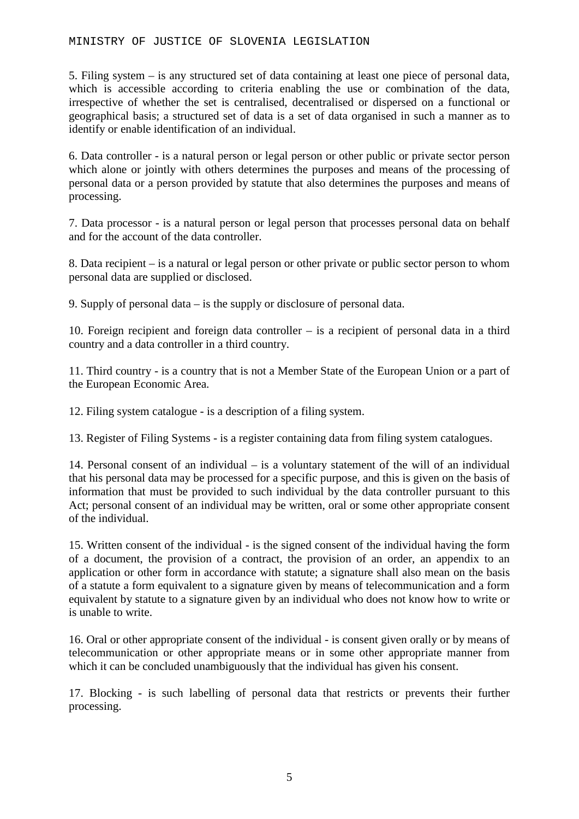5. Filing system – is any structured set of data containing at least one piece of personal data, which is accessible according to criteria enabling the use or combination of the data, irrespective of whether the set is centralised, decentralised or dispersed on a functional or geographical basis; a structured set of data is a set of data organised in such a manner as to identify or enable identification of an individual.

6. Data controller - is a natural person or legal person or other public or private sector person which alone or jointly with others determines the purposes and means of the processing of personal data or a person provided by statute that also determines the purposes and means of processing.

7. Data processor - is a natural person or legal person that processes personal data on behalf and for the account of the data controller.

8. Data recipient – is a natural or legal person or other private or public sector person to whom personal data are supplied or disclosed.

9. Supply of personal data – is the supply or disclosure of personal data.

10. Foreign recipient and foreign data controller – is a recipient of personal data in a third country and a data controller in a third country.

11. Third country - is a country that is not a Member State of the European Union or a part of the European Economic Area.

12. Filing system catalogue - is a description of a filing system.

13. Register of Filing Systems - is a register containing data from filing system catalogues.

14. Personal consent of an individual – is a voluntary statement of the will of an individual that his personal data may be processed for a specific purpose, and this is given on the basis of information that must be provided to such individual by the data controller pursuant to this Act; personal consent of an individual may be written, oral or some other appropriate consent of the individual.

15. Written consent of the individual - is the signed consent of the individual having the form of a document, the provision of a contract, the provision of an order, an appendix to an application or other form in accordance with statute; a signature shall also mean on the basis of a statute a form equivalent to a signature given by means of telecommunication and a form equivalent by statute to a signature given by an individual who does not know how to write or is unable to write.

16. Oral or other appropriate consent of the individual - is consent given orally or by means of telecommunication or other appropriate means or in some other appropriate manner from which it can be concluded unambiguously that the individual has given his consent.

17. Blocking - is such labelling of personal data that restricts or prevents their further processing.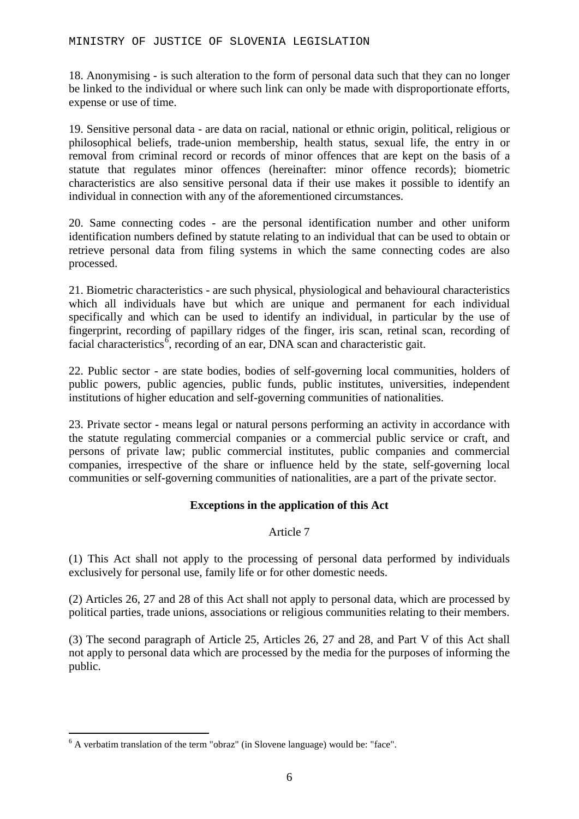18. Anonymising - is such alteration to the form of personal data such that they can no longer be linked to the individual or where such link can only be made with disproportionate efforts, expense or use of time.

19. Sensitive personal data - are data on racial, national or ethnic origin, political, religious or philosophical beliefs, trade-union membership, health status, sexual life, the entry in or removal from criminal record or records of minor offences that are kept on the basis of a statute that regulates minor offences (hereinafter: minor offence records); biometric characteristics are also sensitive personal data if their use makes it possible to identify an individual in connection with any of the aforementioned circumstances.

20. Same connecting codes - are the personal identification number and other uniform identification numbers defined by statute relating to an individual that can be used to obtain or retrieve personal data from filing systems in which the same connecting codes are also processed.

21. Biometric characteristics - are such physical, physiological and behavioural characteristics which all individuals have but which are unique and permanent for each individual specifically and which can be used to identify an individual, in particular by the use of fingerprint, recording of papillary ridges of the finger, iris scan, retinal scan, recording of facial characteristics<sup> $\vec{6}$  $\vec{6}$  $\vec{6}$ </sup>, recording of an ear, DNA scan and characteristic gait.

22. Public sector - are state bodies, bodies of self-governing local communities, holders of public powers, public agencies, public funds, public institutes, universities, independent institutions of higher education and self-governing communities of nationalities.

23. Private sector - means legal or natural persons performing an activity in accordance with the statute regulating commercial companies or a commercial public service or craft, and persons of private law; public commercial institutes, public companies and commercial companies, irrespective of the share or influence held by the state, self-governing local communities or self-governing communities of nationalities, are a part of the private sector.

### **Exceptions in the application of this Act**

### Article 7

(1) This Act shall not apply to the processing of personal data performed by individuals exclusively for personal use, family life or for other domestic needs.

(2) Articles 26, 27 and 28 of this Act shall not apply to personal data, which are processed by political parties, trade unions, associations or religious communities relating to their members.

(3) The second paragraph of Article 25, Articles 26, 27 and 28, and Part V of this Act shall not apply to personal data which are processed by the media for the purposes of informing the public.

<span id="page-5-0"></span> $6$  A verbatim translation of the term "obraz" (in Slovene language) would be: "face".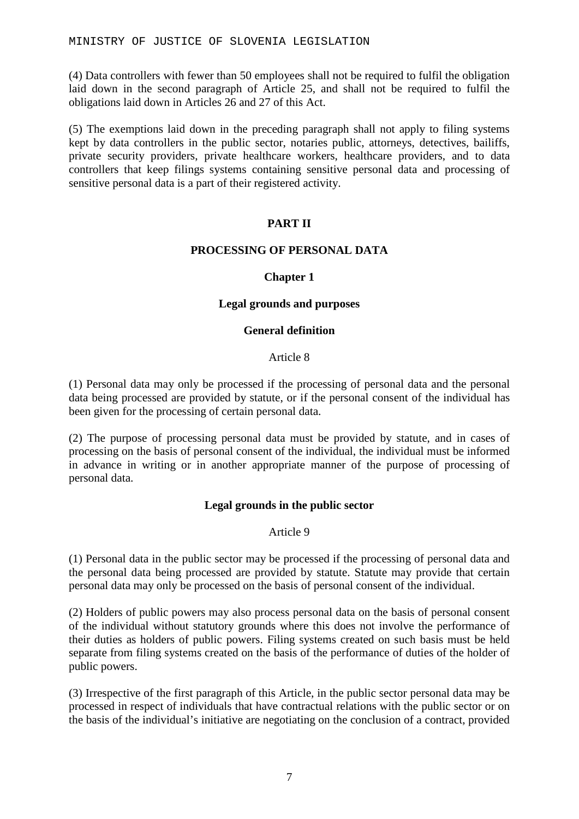(4) Data controllers with fewer than 50 employees shall not be required to fulfil the obligation laid down in the second paragraph of Article 25, and shall not be required to fulfil the obligations laid down in Articles 26 and 27 of this Act.

(5) The exemptions laid down in the preceding paragraph shall not apply to filing systems kept by data controllers in the public sector, notaries public, attorneys, detectives, bailiffs, private security providers, private healthcare workers, healthcare providers, and to data controllers that keep filings systems containing sensitive personal data and processing of sensitive personal data is a part of their registered activity.

### **PART II**

### **PROCESSING OF PERSONAL DATA**

### **Chapter 1**

### **Legal grounds and purposes**

### **General definition**

### Article 8

(1) Personal data may only be processed if the processing of personal data and the personal data being processed are provided by statute, or if the personal consent of the individual has been given for the processing of certain personal data.

(2) The purpose of processing personal data must be provided by statute, and in cases of processing on the basis of personal consent of the individual, the individual must be informed in advance in writing or in another appropriate manner of the purpose of processing of personal data.

### **Legal grounds in the public sector**

### Article 9

(1) Personal data in the public sector may be processed if the processing of personal data and the personal data being processed are provided by statute. Statute may provide that certain personal data may only be processed on the basis of personal consent of the individual.

(2) Holders of public powers may also process personal data on the basis of personal consent of the individual without statutory grounds where this does not involve the performance of their duties as holders of public powers. Filing systems created on such basis must be held separate from filing systems created on the basis of the performance of duties of the holder of public powers.

(3) Irrespective of the first paragraph of this Article, in the public sector personal data may be processed in respect of individuals that have contractual relations with the public sector or on the basis of the individual's initiative are negotiating on the conclusion of a contract, provided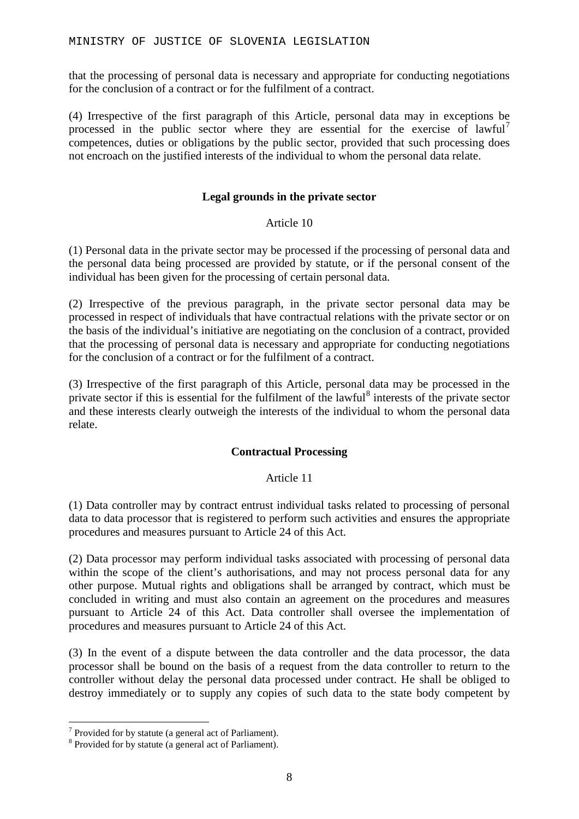that the processing of personal data is necessary and appropriate for conducting negotiations for the conclusion of a contract or for the fulfilment of a contract.

(4) Irrespective of the first paragraph of this Article, personal data may in exceptions be processed in the public sector where they are essential for the exercise of lawful<sup>[7](#page-7-0)</sup> competences, duties or obligations by the public sector, provided that such processing does not encroach on the justified interests of the individual to whom the personal data relate.

### **Legal grounds in the private sector**

### Article 10

(1) Personal data in the private sector may be processed if the processing of personal data and the personal data being processed are provided by statute, or if the personal consent of the individual has been given for the processing of certain personal data.

(2) Irrespective of the previous paragraph, in the private sector personal data may be processed in respect of individuals that have contractual relations with the private sector or on the basis of the individual's initiative are negotiating on the conclusion of a contract, provided that the processing of personal data is necessary and appropriate for conducting negotiations for the conclusion of a contract or for the fulfilment of a contract.

(3) Irrespective of the first paragraph of this Article, personal data may be processed in the private sector if this is essential for the fulfilment of the lawful<sup>[8](#page-7-1)</sup> interests of the private sector and these interests clearly outweigh the interests of the individual to whom the personal data relate.

### **Contractual Processing**

### Article 11

(1) Data controller may by contract entrust individual tasks related to processing of personal data to data processor that is registered to perform such activities and ensures the appropriate procedures and measures pursuant to Article 24 of this Act.

(2) Data processor may perform individual tasks associated with processing of personal data within the scope of the client's authorisations, and may not process personal data for any other purpose. Mutual rights and obligations shall be arranged by contract, which must be concluded in writing and must also contain an agreement on the procedures and measures pursuant to Article 24 of this Act. Data controller shall oversee the implementation of procedures and measures pursuant to Article 24 of this Act.

(3) In the event of a dispute between the data controller and the data processor, the data processor shall be bound on the basis of a request from the data controller to return to the controller without delay the personal data processed under contract. He shall be obliged to destroy immediately or to supply any copies of such data to the state body competent by

<span id="page-7-0"></span> $7$  Provided for by statute (a general act of Parliament).

<span id="page-7-1"></span><sup>&</sup>lt;sup>8</sup> Provided for by statute (a general act of Parliament).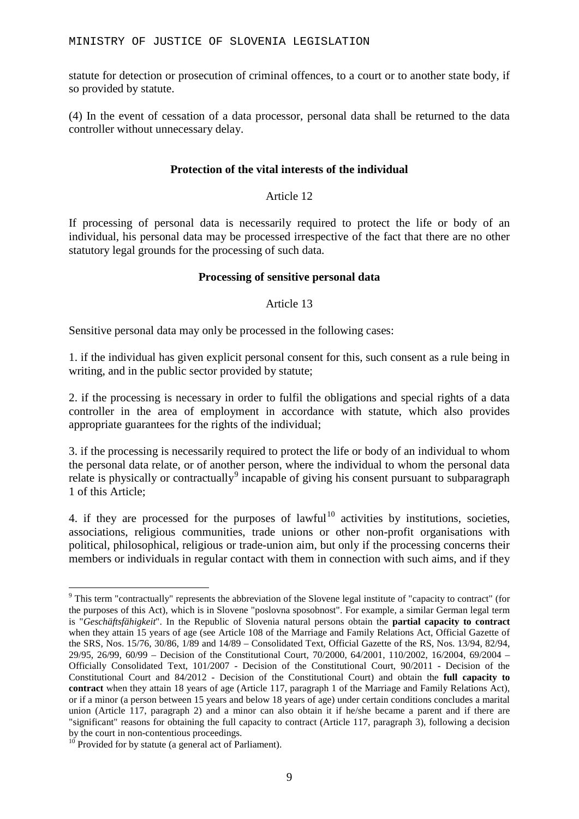statute for detection or prosecution of criminal offences, to a court or to another state body, if so provided by statute.

(4) In the event of cessation of a data processor, personal data shall be returned to the data controller without unnecessary delay.

### **Protection of the vital interests of the individual**

### Article 12

If processing of personal data is necessarily required to protect the life or body of an individual, his personal data may be processed irrespective of the fact that there are no other statutory legal grounds for the processing of such data.

#### **Processing of sensitive personal data**

### Article 13

Sensitive personal data may only be processed in the following cases:

1. if the individual has given explicit personal consent for this, such consent as a rule being in writing, and in the public sector provided by statute;

2. if the processing is necessary in order to fulfil the obligations and special rights of a data controller in the area of employment in accordance with statute, which also provides appropriate guarantees for the rights of the individual;

3. if the processing is necessarily required to protect the life or body of an individual to whom the personal data relate, or of another person, where the individual to whom the personal data relate is physically or contractually<sup>[9](#page-8-0)</sup> incapable of giving his consent pursuant to subparagraph 1 of this Article;

4. if they are processed for the purposes of lawful<sup>[10](#page-8-1)</sup> activities by institutions, societies, associations, religious communities, trade unions or other non-profit organisations with political, philosophical, religious or trade-union aim, but only if the processing concerns their members or individuals in regular contact with them in connection with such aims, and if they

<span id="page-8-0"></span><sup>&</sup>lt;sup>9</sup> This term "contractually" represents the abbreviation of the Slovene legal institute of "capacity to contract" (for the purposes of this Act), which is in Slovene "poslovna sposobnost". For example, a similar German legal term is "*Geschäftsfähigkeit*". In the Republic of Slovenia natural persons obtain the **partial capacity to contract** when they attain 15 years of age (see Article 108 of the Marriage and Family Relations Act, Official Gazette of the SRS, Nos. 15/76, 30/86, 1/89 and 14/89 – Consolidated Text, Official Gazette of the RS, Nos. 13/94, 82/94, 29/95, 26/99, 60/99 – Decision of the Constitutional Court, 70/2000, 64/2001, 110/2002, 16/2004, 69/2004 – Officially Consolidated Text, 101/2007 - Decision of the Constitutional Court, 90/2011 - Decision of the Constitutional Court and 84/2012 - Decision of the Constitutional Court) and obtain the **full capacity to contract** when they attain 18 years of age (Article 117, paragraph 1 of the Marriage and Family Relations Act), or if a minor (a person between 15 years and below 18 years of age) under certain conditions concludes a marital union (Article 117, paragraph 2) and a minor can also obtain it if he/she became a parent and if there are "significant" reasons for obtaining the full capacity to contract (Article 117, paragraph 3), following a decision<br>by the court in non-contentious proceedings.

<span id="page-8-1"></span> $10<sup>10</sup>$  Provided for by statute (a general act of Parliament).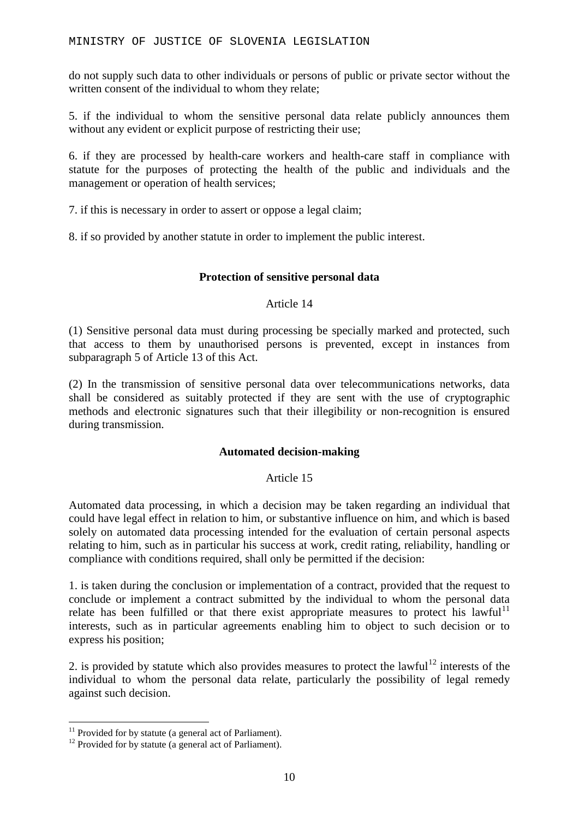do not supply such data to other individuals or persons of public or private sector without the written consent of the individual to whom they relate;

5. if the individual to whom the sensitive personal data relate publicly announces them without any evident or explicit purpose of restricting their use;

6. if they are processed by health-care workers and health-care staff in compliance with statute for the purposes of protecting the health of the public and individuals and the management or operation of health services;

7. if this is necessary in order to assert or oppose a legal claim;

8. if so provided by another statute in order to implement the public interest.

### **Protection of sensitive personal data**

### Article 14

(1) Sensitive personal data must during processing be specially marked and protected, such that access to them by unauthorised persons is prevented, except in instances from subparagraph 5 of Article 13 of this Act.

(2) In the transmission of sensitive personal data over telecommunications networks, data shall be considered as suitably protected if they are sent with the use of cryptographic methods and electronic signatures such that their illegibility or non-recognition is ensured during transmission.

### **Automated decision-making**

### Article 15

Automated data processing, in which a decision may be taken regarding an individual that could have legal effect in relation to him, or substantive influence on him, and which is based solely on automated data processing intended for the evaluation of certain personal aspects relating to him, such as in particular his success at work, credit rating, reliability, handling or compliance with conditions required, shall only be permitted if the decision:

1. is taken during the conclusion or implementation of a contract, provided that the request to conclude or implement a contract submitted by the individual to whom the personal data relate has been fulfilled or that there exist appropriate measures to protect his lawful<sup>[11](#page-9-0)</sup> interests, such as in particular agreements enabling him to object to such decision or to express his position;

2. is provided by statute which also provides measures to protect the lawful<sup>[12](#page-9-1)</sup> interests of the individual to whom the personal data relate, particularly the possibility of legal remedy against such decision.

<span id="page-9-0"></span><sup>&</sup>lt;sup>11</sup> Provided for by statute (a general act of Parliament). <sup>12</sup> Provided for by statute (a general act of Parliament).

<span id="page-9-1"></span>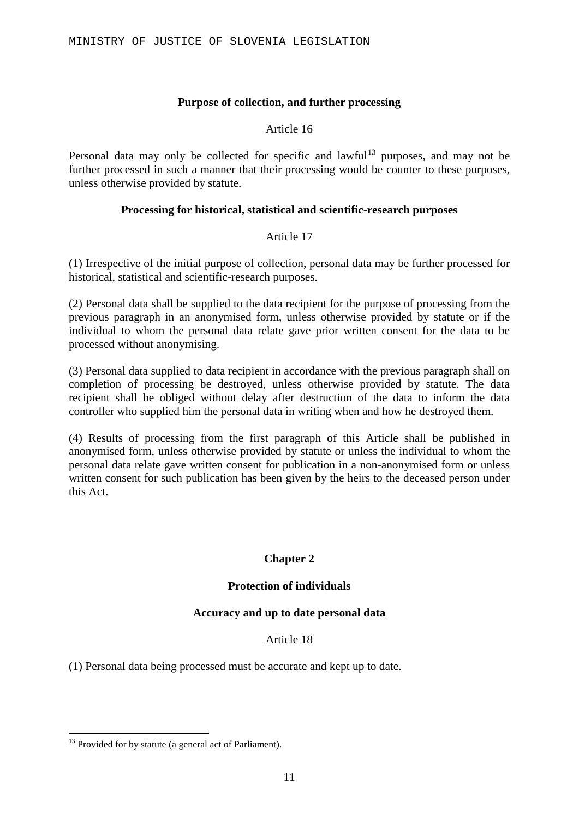### **Purpose of collection, and further processing**

#### Article 16

Personal data may only be collected for specific and lawful<sup>[13](#page-10-0)</sup> purposes, and may not be further processed in such a manner that their processing would be counter to these purposes, unless otherwise provided by statute.

### **Processing for historical, statistical and scientific-research purposes**

#### Article 17

(1) Irrespective of the initial purpose of collection, personal data may be further processed for historical, statistical and scientific-research purposes.

(2) Personal data shall be supplied to the data recipient for the purpose of processing from the previous paragraph in an anonymised form, unless otherwise provided by statute or if the individual to whom the personal data relate gave prior written consent for the data to be processed without anonymising.

(3) Personal data supplied to data recipient in accordance with the previous paragraph shall on completion of processing be destroyed, unless otherwise provided by statute. The data recipient shall be obliged without delay after destruction of the data to inform the data controller who supplied him the personal data in writing when and how he destroyed them.

(4) Results of processing from the first paragraph of this Article shall be published in anonymised form, unless otherwise provided by statute or unless the individual to whom the personal data relate gave written consent for publication in a non-anonymised form or unless written consent for such publication has been given by the heirs to the deceased person under this Act.

### **Chapter 2**

### **Protection of individuals**

### **Accuracy and up to date personal data**

#### Article 18

(1) Personal data being processed must be accurate and kept up to date.

<span id="page-10-0"></span> $13$  Provided for by statute (a general act of Parliament).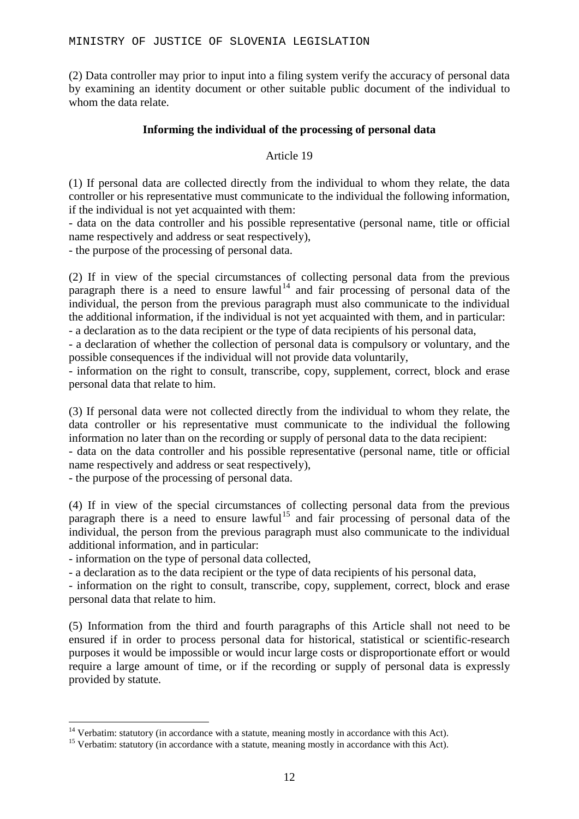(2) Data controller may prior to input into a filing system verify the accuracy of personal data by examining an identity document or other suitable public document of the individual to whom the data relate.

### **Informing the individual of the processing of personal data**

### Article 19

(1) If personal data are collected directly from the individual to whom they relate, the data controller or his representative must communicate to the individual the following information, if the individual is not yet acquainted with them:

- data on the data controller and his possible representative (personal name, title or official name respectively and address or seat respectively),

- the purpose of the processing of personal data.

(2) If in view of the special circumstances of collecting personal data from the previous paragraph there is a need to ensure lawful<sup>[14](#page-11-0)</sup> and fair processing of personal data of the individual, the person from the previous paragraph must also communicate to the individual the additional information, if the individual is not yet acquainted with them, and in particular:

- a declaration as to the data recipient or the type of data recipients of his personal data,

- a declaration of whether the collection of personal data is compulsory or voluntary, and the possible consequences if the individual will not provide data voluntarily,

- information on the right to consult, transcribe, copy, supplement, correct, block and erase personal data that relate to him.

(3) If personal data were not collected directly from the individual to whom they relate, the data controller or his representative must communicate to the individual the following information no later than on the recording or supply of personal data to the data recipient:

- data on the data controller and his possible representative (personal name, title or official name respectively and address or seat respectively),

- the purpose of the processing of personal data.

(4) If in view of the special circumstances of collecting personal data from the previous paragraph there is a need to ensure lawful<sup>[15](#page-11-1)</sup> and fair processing of personal data of the individual, the person from the previous paragraph must also communicate to the individual additional information, and in particular:

- information on the type of personal data collected,

- a declaration as to the data recipient or the type of data recipients of his personal data,

- information on the right to consult, transcribe, copy, supplement, correct, block and erase personal data that relate to him.

(5) Information from the third and fourth paragraphs of this Article shall not need to be ensured if in order to process personal data for historical, statistical or scientific-research purposes it would be impossible or would incur large costs or disproportionate effort or would require a large amount of time, or if the recording or supply of personal data is expressly provided by statute.

<span id="page-11-0"></span><sup>&</sup>lt;sup>14</sup> Verbatim: statutory (in accordance with a statute, meaning mostly in accordance with this Act). <sup>15</sup> Verbatim: statutory (in accordance with a statute, meaning mostly in accordance with this Act).

<span id="page-11-1"></span>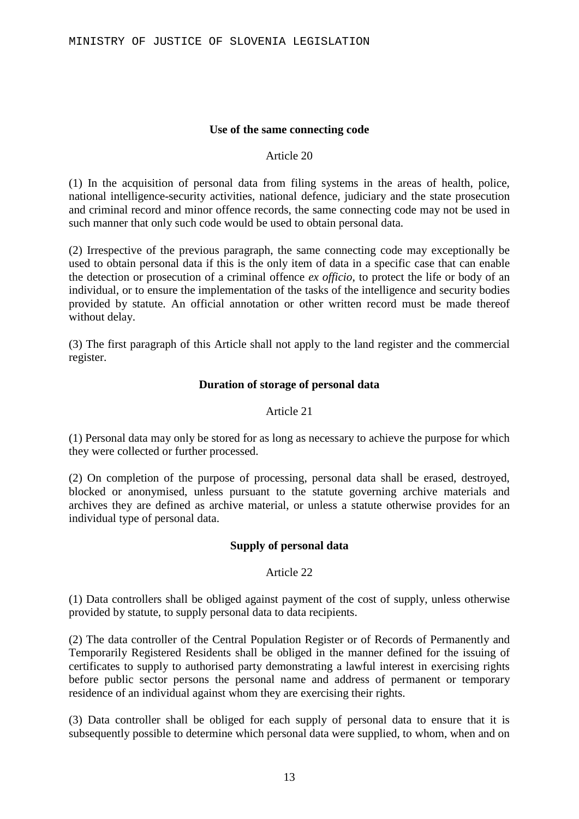### **Use of the same connecting code**

#### Article 20

(1) In the acquisition of personal data from filing systems in the areas of health, police, national intelligence-security activities, national defence, judiciary and the state prosecution and criminal record and minor offence records, the same connecting code may not be used in such manner that only such code would be used to obtain personal data.

(2) Irrespective of the previous paragraph, the same connecting code may exceptionally be used to obtain personal data if this is the only item of data in a specific case that can enable the detection or prosecution of a criminal offence *ex officio*, to protect the life or body of an individual, or to ensure the implementation of the tasks of the intelligence and security bodies provided by statute. An official annotation or other written record must be made thereof without delay.

(3) The first paragraph of this Article shall not apply to the land register and the commercial register.

### **Duration of storage of personal data**

### Article 21

(1) Personal data may only be stored for as long as necessary to achieve the purpose for which they were collected or further processed.

(2) On completion of the purpose of processing, personal data shall be erased, destroyed, blocked or anonymised, unless pursuant to the statute governing archive materials and archives they are defined as archive material, or unless a statute otherwise provides for an individual type of personal data.

### **Supply of personal data**

### Article 22

(1) Data controllers shall be obliged against payment of the cost of supply, unless otherwise provided by statute, to supply personal data to data recipients.

(2) The data controller of the Central Population Register or of Records of Permanently and Temporarily Registered Residents shall be obliged in the manner defined for the issuing of certificates to supply to authorised party demonstrating a lawful interest in exercising rights before public sector persons the personal name and address of permanent or temporary residence of an individual against whom they are exercising their rights.

(3) Data controller shall be obliged for each supply of personal data to ensure that it is subsequently possible to determine which personal data were supplied, to whom, when and on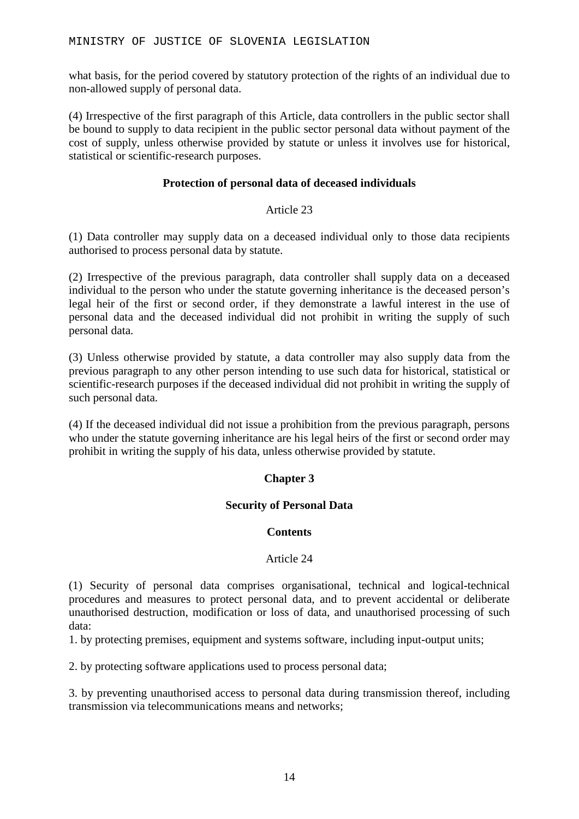what basis, for the period covered by statutory protection of the rights of an individual due to non-allowed supply of personal data.

(4) Irrespective of the first paragraph of this Article, data controllers in the public sector shall be bound to supply to data recipient in the public sector personal data without payment of the cost of supply, unless otherwise provided by statute or unless it involves use for historical, statistical or scientific-research purposes.

### **Protection of personal data of deceased individuals**

### Article 23

(1) Data controller may supply data on a deceased individual only to those data recipients authorised to process personal data by statute.

(2) Irrespective of the previous paragraph, data controller shall supply data on a deceased individual to the person who under the statute governing inheritance is the deceased person's legal heir of the first or second order, if they demonstrate a lawful interest in the use of personal data and the deceased individual did not prohibit in writing the supply of such personal data.

(3) Unless otherwise provided by statute, a data controller may also supply data from the previous paragraph to any other person intending to use such data for historical, statistical or scientific-research purposes if the deceased individual did not prohibit in writing the supply of such personal data.

(4) If the deceased individual did not issue a prohibition from the previous paragraph, persons who under the statute governing inheritance are his legal heirs of the first or second order may prohibit in writing the supply of his data, unless otherwise provided by statute.

### **Chapter 3**

### **Security of Personal Data**

### **Contents**

### Article 24

(1) Security of personal data comprises organisational, technical and logical-technical procedures and measures to protect personal data, and to prevent accidental or deliberate unauthorised destruction, modification or loss of data, and unauthorised processing of such data:

1. by protecting premises, equipment and systems software, including input-output units;

2. by protecting software applications used to process personal data;

3. by preventing unauthorised access to personal data during transmission thereof, including transmission via telecommunications means and networks;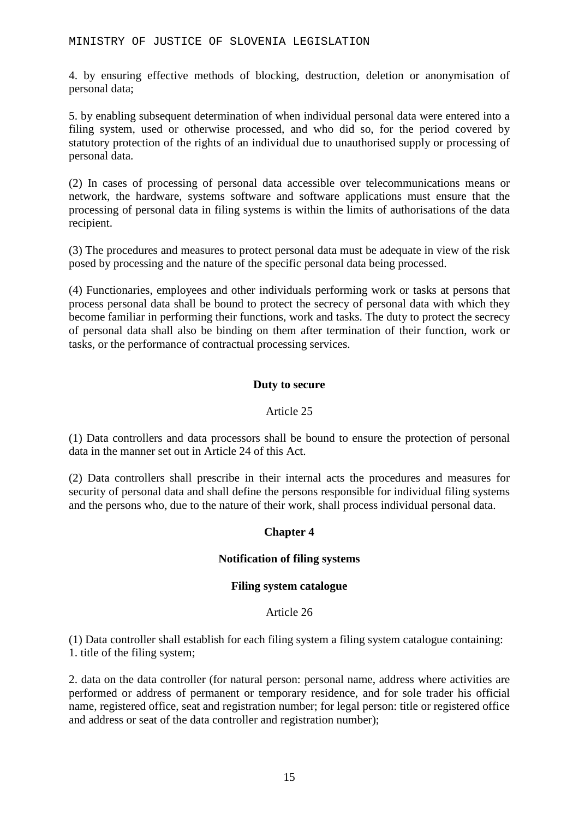4. by ensuring effective methods of blocking, destruction, deletion or anonymisation of personal data;

5. by enabling subsequent determination of when individual personal data were entered into a filing system, used or otherwise processed, and who did so, for the period covered by statutory protection of the rights of an individual due to unauthorised supply or processing of personal data.

(2) In cases of processing of personal data accessible over telecommunications means or network, the hardware, systems software and software applications must ensure that the processing of personal data in filing systems is within the limits of authorisations of the data recipient.

(3) The procedures and measures to protect personal data must be adequate in view of the risk posed by processing and the nature of the specific personal data being processed.

(4) Functionaries, employees and other individuals performing work or tasks at persons that process personal data shall be bound to protect the secrecy of personal data with which they become familiar in performing their functions, work and tasks. The duty to protect the secrecy of personal data shall also be binding on them after termination of their function, work or tasks, or the performance of contractual processing services.

### **Duty to secure**

### Article 25

(1) Data controllers and data processors shall be bound to ensure the protection of personal data in the manner set out in Article 24 of this Act.

(2) Data controllers shall prescribe in their internal acts the procedures and measures for security of personal data and shall define the persons responsible for individual filing systems and the persons who, due to the nature of their work, shall process individual personal data.

### **Chapter 4**

### **Notification of filing systems**

### **Filing system catalogue**

### Article 26

(1) Data controller shall establish for each filing system a filing system catalogue containing: 1. title of the filing system;

2. data on the data controller (for natural person: personal name, address where activities are performed or address of permanent or temporary residence, and for sole trader his official name, registered office, seat and registration number; for legal person: title or registered office and address or seat of the data controller and registration number);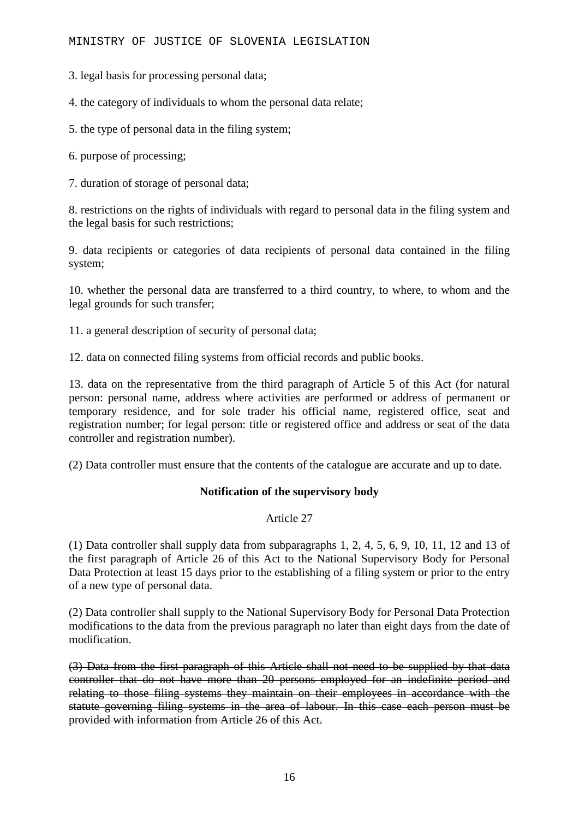3. legal basis for processing personal data;

4. the category of individuals to whom the personal data relate;

5. the type of personal data in the filing system;

6. purpose of processing;

7. duration of storage of personal data;

8. restrictions on the rights of individuals with regard to personal data in the filing system and the legal basis for such restrictions;

9. data recipients or categories of data recipients of personal data contained in the filing system;

10. whether the personal data are transferred to a third country, to where, to whom and the legal grounds for such transfer;

11. a general description of security of personal data;

12. data on connected filing systems from official records and public books.

13. data on the representative from the third paragraph of Article 5 of this Act (for natural person: personal name, address where activities are performed or address of permanent or temporary residence, and for sole trader his official name, registered office, seat and registration number; for legal person: title or registered office and address or seat of the data controller and registration number).

(2) Data controller must ensure that the contents of the catalogue are accurate and up to date.

### **Notification of the supervisory body**

Article 27

(1) Data controller shall supply data from subparagraphs 1, 2, 4, 5, 6, 9, 10, 11, 12 and 13 of the first paragraph of Article 26 of this Act to the National Supervisory Body for Personal Data Protection at least 15 days prior to the establishing of a filing system or prior to the entry of a new type of personal data.

(2) Data controller shall supply to the National Supervisory Body for Personal Data Protection modifications to the data from the previous paragraph no later than eight days from the date of modification.

(3) Data from the first paragraph of this Article shall not need to be supplied by that data controller that do not have more than 20 persons employed for an indefinite period and relating to those filing systems they maintain on their employees in accordance with the statute governing filing systems in the area of labour. In this case each person must be provided with information from Article 26 of this Act.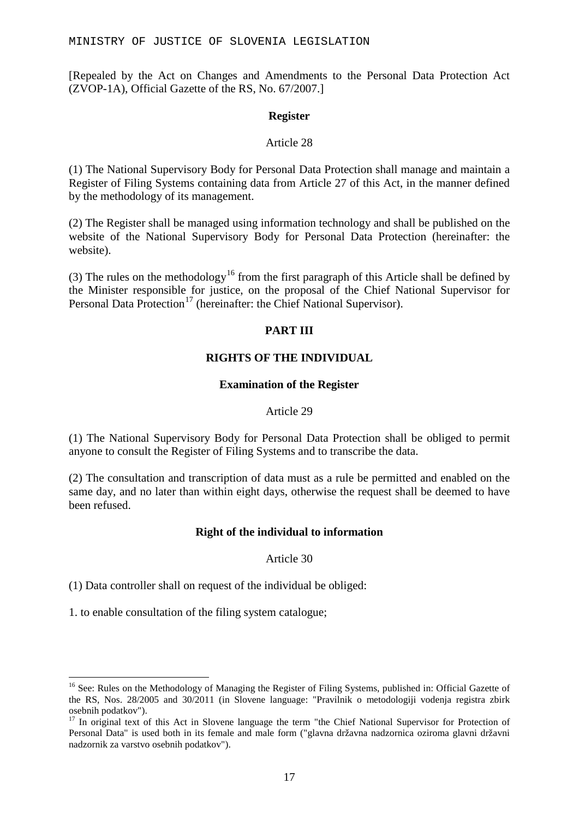[Repealed by the Act on Changes and Amendments to the Personal Data Protection Act (ZVOP-1A), Official Gazette of the RS, No. 67/2007.]

#### **Register**

#### Article 28

(1) The National Supervisory Body for Personal Data Protection shall manage and maintain a Register of Filing Systems containing data from Article 27 of this Act, in the manner defined by the methodology of its management.

(2) The Register shall be managed using information technology and shall be published on the website of the National Supervisory Body for Personal Data Protection (hereinafter: the website).

(3) The rules on the methodology<sup>[16](#page-16-0)</sup> from the first paragraph of this Article shall be defined by the Minister responsible for justice, on the proposal of the Chief National Supervisor for Personal Data Protection<sup>[17](#page-16-1)</sup> (hereinafter: the Chief National Supervisor).

### **PART III**

### **RIGHTS OF THE INDIVIDUAL**

### **Examination of the Register**

### Article 29

(1) The National Supervisory Body for Personal Data Protection shall be obliged to permit anyone to consult the Register of Filing Systems and to transcribe the data.

(2) The consultation and transcription of data must as a rule be permitted and enabled on the same day, and no later than within eight days, otherwise the request shall be deemed to have been refused.

### **Right of the individual to information**

#### Article 30

(1) Data controller shall on request of the individual be obliged:

1. to enable consultation of the filing system catalogue;

<span id="page-16-0"></span><sup>&</sup>lt;sup>16</sup> See: Rules on the Methodology of Managing the Register of Filing Systems, published in: Official Gazette of the RS, Nos. 28/2005 and 30/2011 (in Slovene language: "Pravilnik o metodologiji vodenja registra zbirk osebnih podatkov").<br><sup>17</sup> In original text of this Act in Slovene language the term "the Chief National Supervisor for Protection of

<span id="page-16-1"></span>Personal Data" is used both in its female and male form ("glavna državna nadzornica oziroma glavni državni nadzornik za varstvo osebnih podatkov").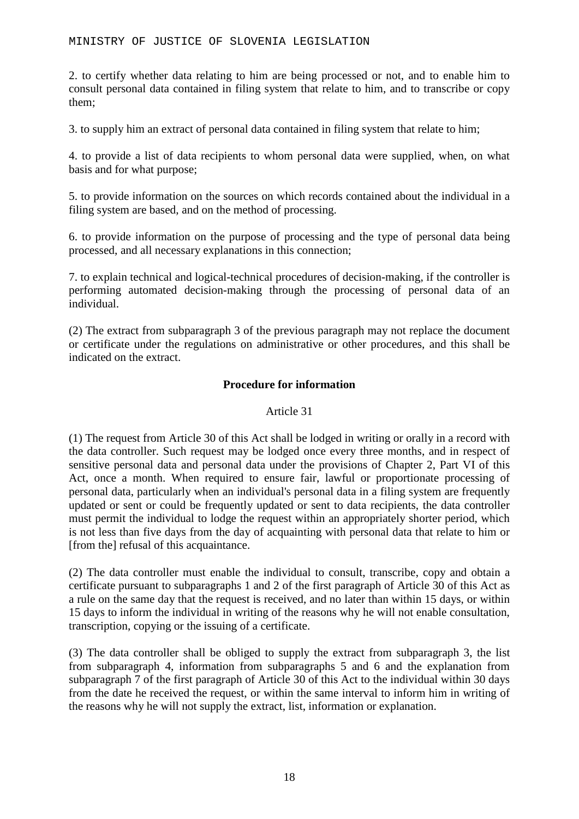2. to certify whether data relating to him are being processed or not, and to enable him to consult personal data contained in filing system that relate to him, and to transcribe or copy them;

3. to supply him an extract of personal data contained in filing system that relate to him;

4. to provide a list of data recipients to whom personal data were supplied, when, on what basis and for what purpose;

5. to provide information on the sources on which records contained about the individual in a filing system are based, and on the method of processing.

6. to provide information on the purpose of processing and the type of personal data being processed, and all necessary explanations in this connection;

7. to explain technical and logical-technical procedures of decision-making, if the controller is performing automated decision-making through the processing of personal data of an individual.

(2) The extract from subparagraph 3 of the previous paragraph may not replace the document or certificate under the regulations on administrative or other procedures, and this shall be indicated on the extract.

### **Procedure for information**

### Article 31

(1) The request from Article 30 of this Act shall be lodged in writing or orally in a record with the data controller. Such request may be lodged once every three months, and in respect of sensitive personal data and personal data under the provisions of Chapter 2, Part VI of this Act, once a month. When required to ensure fair, lawful or proportionate processing of personal data, particularly when an individual's personal data in a filing system are frequently updated or sent or could be frequently updated or sent to data recipients, the data controller must permit the individual to lodge the request within an appropriately shorter period, which is not less than five days from the day of acquainting with personal data that relate to him or [from the] refusal of this acquaintance.

(2) The data controller must enable the individual to consult, transcribe, copy and obtain a certificate pursuant to subparagraphs 1 and 2 of the first paragraph of Article 30 of this Act as a rule on the same day that the request is received, and no later than within 15 days, or within 15 days to inform the individual in writing of the reasons why he will not enable consultation, transcription, copying or the issuing of a certificate.

(3) The data controller shall be obliged to supply the extract from subparagraph 3, the list from subparagraph 4, information from subparagraphs 5 and 6 and the explanation from subparagraph 7 of the first paragraph of Article 30 of this Act to the individual within 30 days from the date he received the request, or within the same interval to inform him in writing of the reasons why he will not supply the extract, list, information or explanation.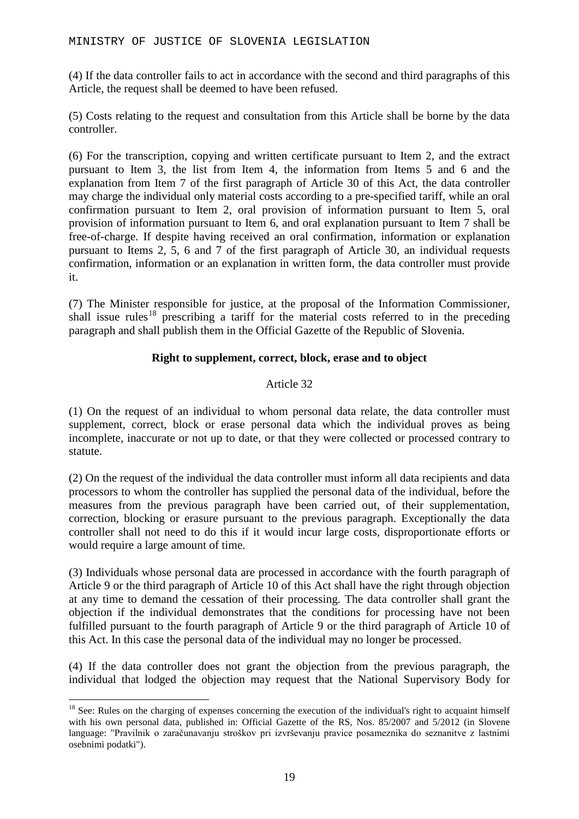(4) If the data controller fails to act in accordance with the second and third paragraphs of this Article, the request shall be deemed to have been refused.

(5) Costs relating to the request and consultation from this Article shall be borne by the data controller.

(6) For the transcription, copying and written certificate pursuant to Item 2, and the extract pursuant to Item 3, the list from Item 4, the information from Items 5 and 6 and the explanation from Item 7 of the first paragraph of Article 30 of this Act, the data controller may charge the individual only material costs according to a pre-specified tariff, while an oral confirmation pursuant to Item 2, oral provision of information pursuant to Item 5, oral provision of information pursuant to Item 6, and oral explanation pursuant to Item 7 shall be free-of-charge. If despite having received an oral confirmation, information or explanation pursuant to Items 2, 5, 6 and 7 of the first paragraph of Article 30, an individual requests confirmation, information or an explanation in written form, the data controller must provide it.

(7) The Minister responsible for justice, at the proposal of the Information Commissioner, shall issue rules<sup>[18](#page-18-0)</sup> prescribing a tariff for the material costs referred to in the preceding paragraph and shall publish them in the Official Gazette of the Republic of Slovenia.

### **Right to supplement, correct, block, erase and to object**

### Article 32

(1) On the request of an individual to whom personal data relate, the data controller must supplement, correct, block or erase personal data which the individual proves as being incomplete, inaccurate or not up to date, or that they were collected or processed contrary to statute.

(2) On the request of the individual the data controller must inform all data recipients and data processors to whom the controller has supplied the personal data of the individual, before the measures from the previous paragraph have been carried out, of their supplementation, correction, blocking or erasure pursuant to the previous paragraph. Exceptionally the data controller shall not need to do this if it would incur large costs, disproportionate efforts or would require a large amount of time.

(3) Individuals whose personal data are processed in accordance with the fourth paragraph of Article 9 or the third paragraph of Article 10 of this Act shall have the right through objection at any time to demand the cessation of their processing. The data controller shall grant the objection if the individual demonstrates that the conditions for processing have not been fulfilled pursuant to the fourth paragraph of Article 9 or the third paragraph of Article 10 of this Act. In this case the personal data of the individual may no longer be processed.

(4) If the data controller does not grant the objection from the previous paragraph, the individual that lodged the objection may request that the National Supervisory Body for

<span id="page-18-0"></span><sup>&</sup>lt;sup>18</sup> See: Rules on the charging of expenses concerning the execution of the individual's right to acquaint himself with his own personal data, published in: Official Gazette of the RS, Nos. 85/2007 and 5/2012 (in Slovene language: "Pravilnik o zaračunavanju stroškov pri izvrševanju pravice posameznika do seznanitve z lastnimi osebnimi podatki").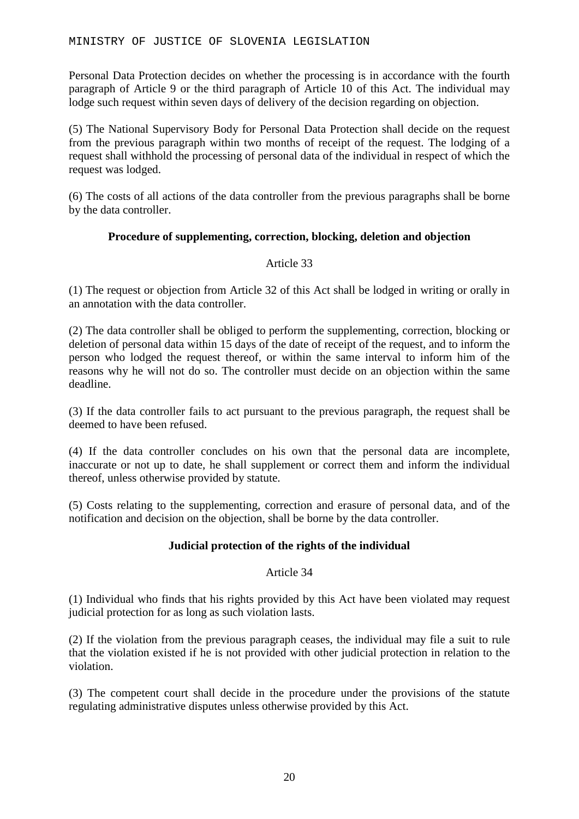Personal Data Protection decides on whether the processing is in accordance with the fourth paragraph of Article 9 or the third paragraph of Article 10 of this Act. The individual may lodge such request within seven days of delivery of the decision regarding on objection.

(5) The National Supervisory Body for Personal Data Protection shall decide on the request from the previous paragraph within two months of receipt of the request. The lodging of a request shall withhold the processing of personal data of the individual in respect of which the request was lodged.

(6) The costs of all actions of the data controller from the previous paragraphs shall be borne by the data controller.

### **Procedure of supplementing, correction, blocking, deletion and objection**

### Article 33

(1) The request or objection from Article 32 of this Act shall be lodged in writing or orally in an annotation with the data controller.

(2) The data controller shall be obliged to perform the supplementing, correction, blocking or deletion of personal data within 15 days of the date of receipt of the request, and to inform the person who lodged the request thereof, or within the same interval to inform him of the reasons why he will not do so. The controller must decide on an objection within the same deadline.

(3) If the data controller fails to act pursuant to the previous paragraph, the request shall be deemed to have been refused.

(4) If the data controller concludes on his own that the personal data are incomplete, inaccurate or not up to date, he shall supplement or correct them and inform the individual thereof, unless otherwise provided by statute.

(5) Costs relating to the supplementing, correction and erasure of personal data, and of the notification and decision on the objection, shall be borne by the data controller.

### **Judicial protection of the rights of the individual**

### Article 34

(1) Individual who finds that his rights provided by this Act have been violated may request judicial protection for as long as such violation lasts.

(2) If the violation from the previous paragraph ceases, the individual may file a suit to rule that the violation existed if he is not provided with other judicial protection in relation to the violation.

(3) The competent court shall decide in the procedure under the provisions of the statute regulating administrative disputes unless otherwise provided by this Act.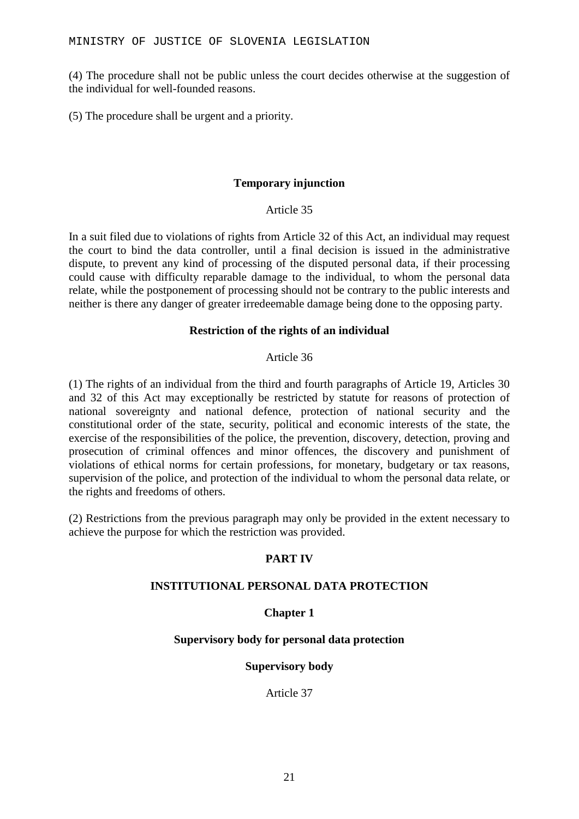(4) The procedure shall not be public unless the court decides otherwise at the suggestion of the individual for well-founded reasons.

(5) The procedure shall be urgent and a priority.

### **Temporary injunction**

Article 35

In a suit filed due to violations of rights from Article 32 of this Act, an individual may request the court to bind the data controller, until a final decision is issued in the administrative dispute, to prevent any kind of processing of the disputed personal data, if their processing could cause with difficulty reparable damage to the individual, to whom the personal data relate, while the postponement of processing should not be contrary to the public interests and neither is there any danger of greater irredeemable damage being done to the opposing party.

### **Restriction of the rights of an individual**

### Article 36

(1) The rights of an individual from the third and fourth paragraphs of Article 19, Articles 30 and 32 of this Act may exceptionally be restricted by statute for reasons of protection of national sovereignty and national defence, protection of national security and the constitutional order of the state, security, political and economic interests of the state, the exercise of the responsibilities of the police, the prevention, discovery, detection, proving and prosecution of criminal offences and minor offences, the discovery and punishment of violations of ethical norms for certain professions, for monetary, budgetary or tax reasons, supervision of the police, and protection of the individual to whom the personal data relate, or the rights and freedoms of others.

(2) Restrictions from the previous paragraph may only be provided in the extent necessary to achieve the purpose for which the restriction was provided.

### **PART IV**

### **INSTITUTIONAL PERSONAL DATA PROTECTION**

### **Chapter 1**

### **Supervisory body for personal data protection**

### **Supervisory body**

Article 37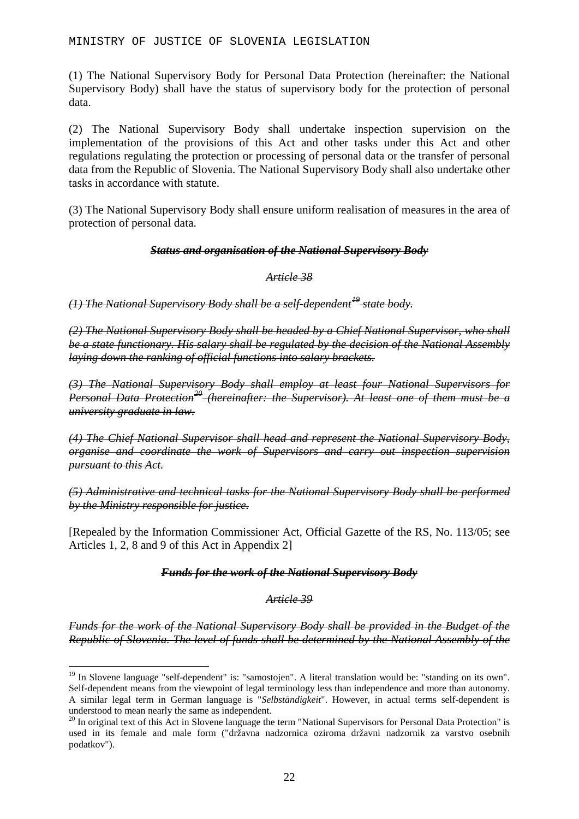(1) The National Supervisory Body for Personal Data Protection (hereinafter: the National Supervisory Body) shall have the status of supervisory body for the protection of personal data.

(2) The National Supervisory Body shall undertake inspection supervision on the implementation of the provisions of this Act and other tasks under this Act and other regulations regulating the protection or processing of personal data or the transfer of personal data from the Republic of Slovenia. The National Supervisory Body shall also undertake other tasks in accordance with statute.

(3) The National Supervisory Body shall ensure uniform realisation of measures in the area of protection of personal data.

### *Status and organisation of the National Supervisory Body*

### *Article 38*

*(1) The National Supervisory Body shall be a self-dependent[19](#page-21-0) state body.*

*(2) The National Supervisory Body shall be headed by a Chief National Supervisor, who shall be a state functionary. His salary shall be regulated by the decision of the National Assembly laying down the ranking of official functions into salary brackets.*

*(3) The National Supervisory Body shall employ at least four National Supervisors for Personal Data Protection[20](#page-21-1) (hereinafter: the Supervisor). At least one of them must be a university graduate in law.*

*(4) The Chief National Supervisor shall head and represent the National Supervisory Body, organise and coordinate the work of Supervisors and carry out inspection supervision pursuant to this Act.*

*(5) Administrative and technical tasks for the National Supervisory Body shall be performed by the Ministry responsible for justice.*

[Repealed by the Information Commissioner Act, Official Gazette of the RS, No. 113/05; see Articles 1, 2, 8 and 9 of this Act in Appendix 2]

### *Funds for the work of the National Supervisory Body*

### *Article 39*

*Funds for the work of the National Supervisory Body shall be provided in the Budget of the Republic of Slovenia. The level of funds shall be determined by the National Assembly of the* 

<span id="page-21-0"></span><sup>&</sup>lt;sup>19</sup> In Slovene language "self-dependent" is: "samostojen". A literal translation would be: "standing on its own". Self-dependent means from the viewpoint of legal terminology less than independence and more than autonomy. A similar legal term in German language is "*Selbständigkeit*". However, in actual terms self-dependent is

<span id="page-21-1"></span> $^{20}$  In original text of this Act in Slovene language the term "National Supervisors for Personal Data Protection" is used in its female and male form ("državna nadzornica oziroma državni nadzornik za varstvo osebnih podatkov").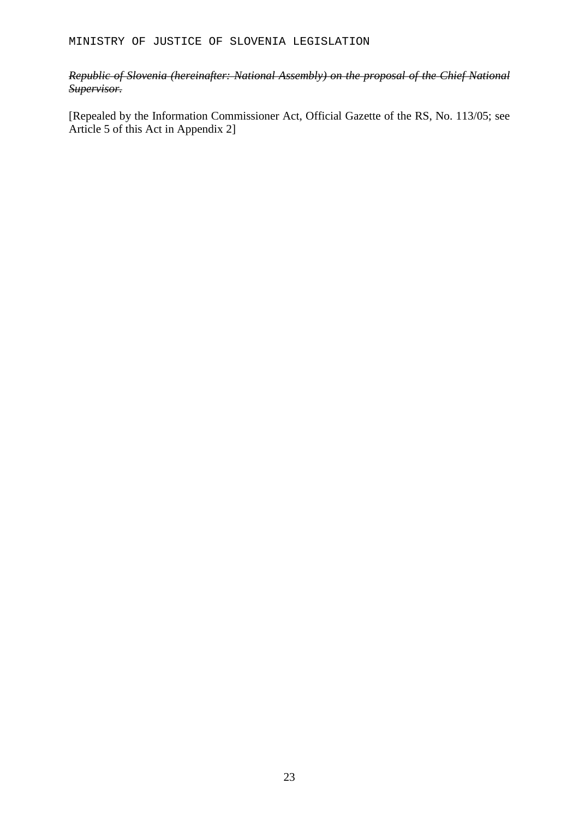### *Republic of Slovenia (hereinafter: National Assembly) on the proposal of the Chief National Supervisor.*

[Repealed by the Information Commissioner Act, Official Gazette of the RS, No. 113/05; see Article 5 of this Act in Appendix 2]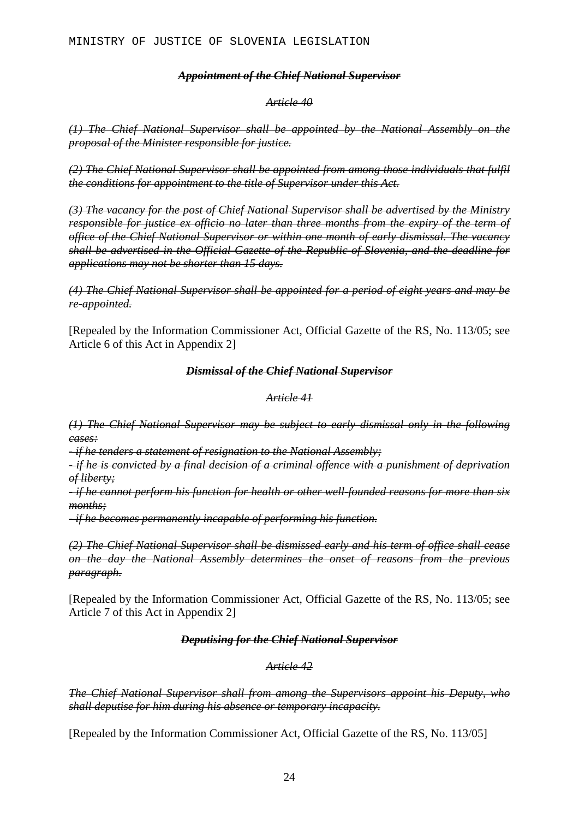### *Appointment of the Chief National Supervisor*

#### *Article 40*

*(1) The Chief National Supervisor shall be appointed by the National Assembly on the proposal of the Minister responsible for justice.*

*(2) The Chief National Supervisor shall be appointed from among those individuals that fulfil the conditions for appointment to the title of Supervisor under this Act.*

*(3) The vacancy for the post of Chief National Supervisor shall be advertised by the Ministry responsible for justice ex officio no later than three months from the expiry of the term of office of the Chief National Supervisor or within one month of early dismissal. The vacancy shall be advertised in the Official Gazette of the Republic of Slovenia, and the deadline for applications may not be shorter than 15 days.* 

*(4) The Chief National Supervisor shall be appointed for a period of eight years and may be re-appointed.*

[Repealed by the Information Commissioner Act, Official Gazette of the RS, No. 113/05; see Article 6 of this Act in Appendix 2]

#### *Dismissal of the Chief National Supervisor*

#### *Article 41*

*(1) The Chief National Supervisor may be subject to early dismissal only in the following cases:* 

*- if he tenders a statement of resignation to the National Assembly;*

*- if he is convicted by a final decision of a criminal offence with a punishment of deprivation of liberty;*

*- if he cannot perform his function for health or other well-founded reasons for more than six months;*

*- if he becomes permanently incapable of performing his function.*

*(2) The Chief National Supervisor shall be dismissed early and his term of office shall cease on the day the National Assembly determines the onset of reasons from the previous paragraph.*

[Repealed by the Information Commissioner Act, Official Gazette of the RS, No. 113/05; see Article 7 of this Act in Appendix 2]

### *Deputising for the Chief National Supervisor*

#### *Article 42*

*The Chief National Supervisor shall from among the Supervisors appoint his Deputy, who shall deputise for him during his absence or temporary incapacity.* 

[Repealed by the Information Commissioner Act, Official Gazette of the RS, No. 113/05]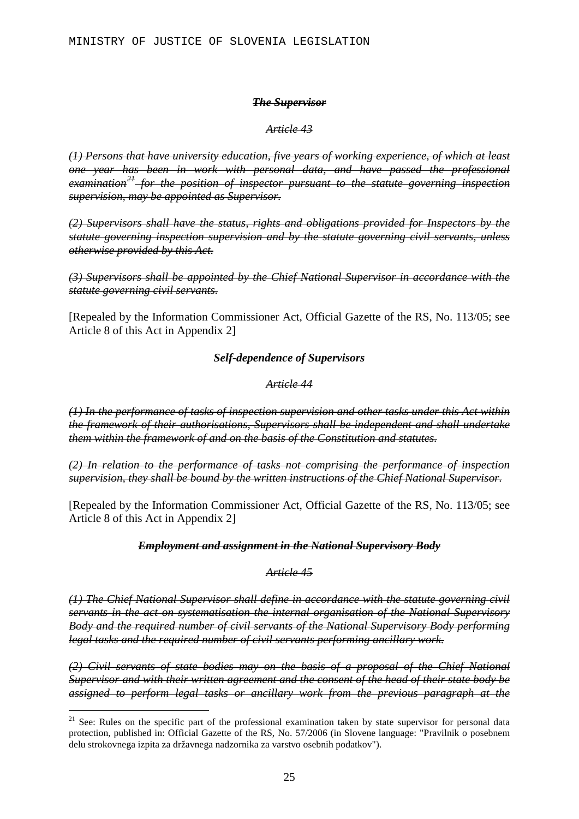#### *The Supervisor*

*Article 43*

*(1) Persons that have university education, five years of working experience, of which at least one year has been in work with personal data, and have passed the professional examination[21](#page-24-0) for the position of inspector pursuant to the statute governing inspection supervision, may be appointed as Supervisor.* 

*(2) Supervisors shall have the status, rights and obligations provided for Inspectors by the statute governing inspection supervision and by the statute governing civil servants, unless otherwise provided by this Act.*

*(3) Supervisors shall be appointed by the Chief National Supervisor in accordance with the statute governing civil servants.*

[Repealed by the Information Commissioner Act, Official Gazette of the RS, No. 113/05; see Article 8 of this Act in Appendix 2]

### *Self-dependence of Supervisors*

### *Article 44*

*(1) In the performance of tasks of inspection supervision and other tasks under this Act within the framework of their authorisations, Supervisors shall be independent and shall undertake them within the framework of and on the basis of the Constitution and statutes.*

*(2) In relation to the performance of tasks not comprising the performance of inspection supervision, they shall be bound by the written instructions of the Chief National Supervisor.*

[Repealed by the Information Commissioner Act, Official Gazette of the RS, No. 113/05; see Article 8 of this Act in Appendix 2]

### *Employment and assignment in the National Supervisory Body*

*Article 45*

*(1) The Chief National Supervisor shall define in accordance with the statute governing civil servants in the act on systematisation the internal organisation of the National Supervisory Body and the required number of civil servants of the National Supervisory Body performing legal tasks and the required number of civil servants performing ancillary work.*

*(2) Civil servants of state bodies may on the basis of a proposal of the Chief National Supervisor and with their written agreement and the consent of the head of their state body be assigned to perform legal tasks or ancillary work from the previous paragraph at the* 

<span id="page-24-0"></span><sup>&</sup>lt;sup>21</sup> See: Rules on the specific part of the professional examination taken by state supervisor for personal data protection, published in: Official Gazette of the RS, No. 57/2006 (in Slovene language: "Pravilnik o posebnem delu strokovnega izpita za državnega nadzornika za varstvo osebnih podatkov").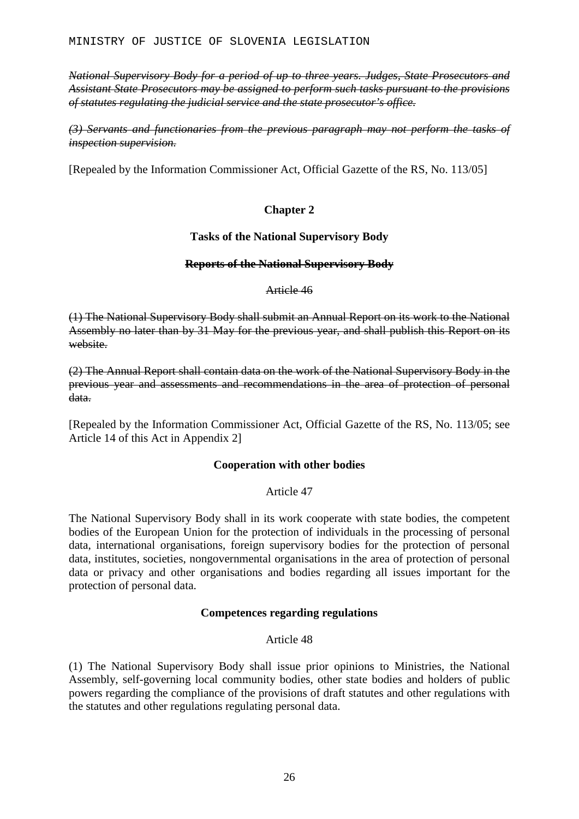*National Supervisory Body for a period of up to three years. Judges, State Prosecutors and Assistant State Prosecutors may be assigned to perform such tasks pursuant to the provisions of statutes regulating the judicial service and the state prosecutor's office.*

*(3) Servants and functionaries from the previous paragraph may not perform the tasks of inspection supervision.*

[Repealed by the Information Commissioner Act, Official Gazette of the RS, No. 113/05]

### **Chapter 2**

### **Tasks of the National Supervisory Body**

### **Reports of the National Supervisory Body**

Article 46

(1) The National Supervisory Body shall submit an Annual Report on its work to the National Assembly no later than by 31 May for the previous year, and shall publish this Report on its website.

(2) The Annual Report shall contain data on the work of the National Supervisory Body in the previous year and assessments and recommendations in the area of protection of personal data.

[Repealed by the Information Commissioner Act, Official Gazette of the RS, No. 113/05; see Article 14 of this Act in Appendix 2]

### **Cooperation with other bodies**

### Article 47

The National Supervisory Body shall in its work cooperate with state bodies, the competent bodies of the European Union for the protection of individuals in the processing of personal data, international organisations, foreign supervisory bodies for the protection of personal data, institutes, societies, nongovernmental organisations in the area of protection of personal data or privacy and other organisations and bodies regarding all issues important for the protection of personal data.

### **Competences regarding regulations**

### Article 48

(1) The National Supervisory Body shall issue prior opinions to Ministries, the National Assembly, self-governing local community bodies, other state bodies and holders of public powers regarding the compliance of the provisions of draft statutes and other regulations with the statutes and other regulations regulating personal data.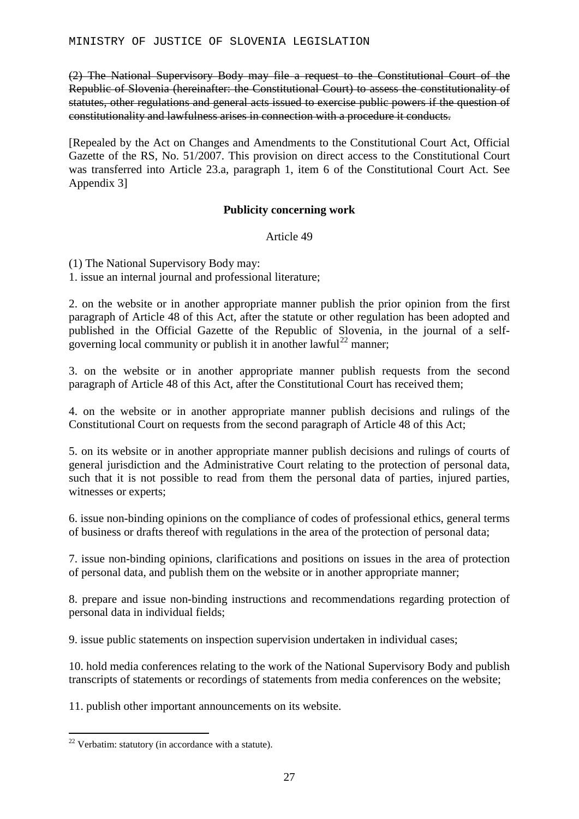(2) The National Supervisory Body may file a request to the Constitutional Court of the Republic of Slovenia (hereinafter: the Constitutional Court) to assess the constitutionality of statutes, other regulations and general acts issued to exercise public powers if the question of constitutionality and lawfulness arises in connection with a procedure it conducts.

[Repealed by the Act on Changes and Amendments to the Constitutional Court Act, Official Gazette of the RS, No. 51/2007. This provision on direct access to the Constitutional Court was transferred into Article 23.a, paragraph 1, item 6 of the Constitutional Court Act. See Appendix 3]

### **Publicity concerning work**

### Article 49

(1) The National Supervisory Body may:

1. issue an internal journal and professional literature;

2. on the website or in another appropriate manner publish the prior opinion from the first paragraph of Article 48 of this Act, after the statute or other regulation has been adopted and published in the Official Gazette of the Republic of Slovenia, in the journal of a self-governing local community or publish it in another lawful<sup>[22](#page-26-0)</sup> manner;

3. on the website or in another appropriate manner publish requests from the second paragraph of Article 48 of this Act, after the Constitutional Court has received them;

4. on the website or in another appropriate manner publish decisions and rulings of the Constitutional Court on requests from the second paragraph of Article 48 of this Act;

5. on its website or in another appropriate manner publish decisions and rulings of courts of general jurisdiction and the Administrative Court relating to the protection of personal data, such that it is not possible to read from them the personal data of parties, injured parties, witnesses or experts;

6. issue non-binding opinions on the compliance of codes of professional ethics, general terms of business or drafts thereof with regulations in the area of the protection of personal data;

7. issue non-binding opinions, clarifications and positions on issues in the area of protection of personal data, and publish them on the website or in another appropriate manner;

8. prepare and issue non-binding instructions and recommendations regarding protection of personal data in individual fields;

9. issue public statements on inspection supervision undertaken in individual cases;

10. hold media conferences relating to the work of the National Supervisory Body and publish transcripts of statements or recordings of statements from media conferences on the website;

11. publish other important announcements on its website.

<span id="page-26-0"></span> $22$  Verbatim: statutory (in accordance with a statute).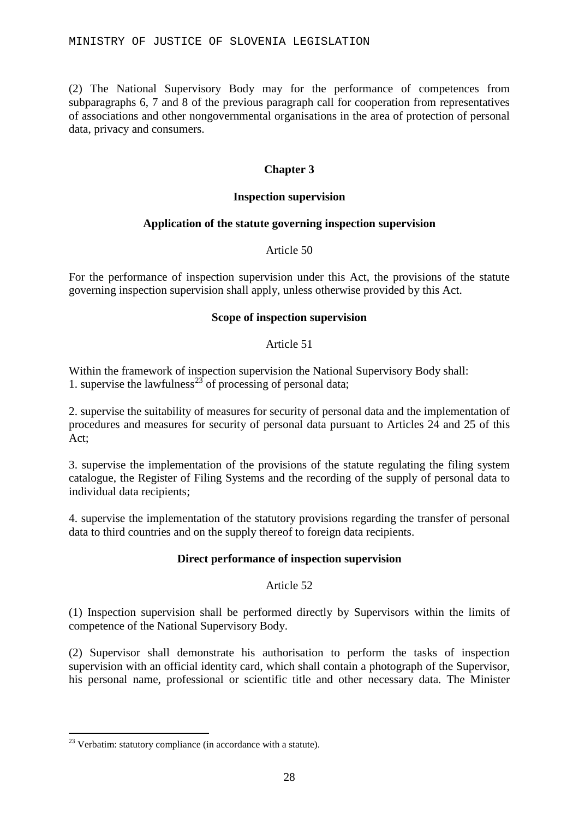(2) The National Supervisory Body may for the performance of competences from subparagraphs 6, 7 and 8 of the previous paragraph call for cooperation from representatives of associations and other nongovernmental organisations in the area of protection of personal data, privacy and consumers.

### **Chapter 3**

### **Inspection supervision**

### **Application of the statute governing inspection supervision**

Article 50

For the performance of inspection supervision under this Act, the provisions of the statute governing inspection supervision shall apply, unless otherwise provided by this Act.

### **Scope of inspection supervision**

### Article 51

Within the framework of inspection supervision the National Supervisory Body shall: 1. supervise the lawfulness<sup>[23](#page-27-0)</sup> of processing of personal data;

2. supervise the suitability of measures for security of personal data and the implementation of procedures and measures for security of personal data pursuant to Articles 24 and 25 of this Act;

3. supervise the implementation of the provisions of the statute regulating the filing system catalogue, the Register of Filing Systems and the recording of the supply of personal data to individual data recipients;

4. supervise the implementation of the statutory provisions regarding the transfer of personal data to third countries and on the supply thereof to foreign data recipients.

### **Direct performance of inspection supervision**

### Article 52

(1) Inspection supervision shall be performed directly by Supervisors within the limits of competence of the National Supervisory Body.

(2) Supervisor shall demonstrate his authorisation to perform the tasks of inspection supervision with an official identity card, which shall contain a photograph of the Supervisor, his personal name, professional or scientific title and other necessary data. The Minister

<span id="page-27-0"></span> $23$  Verbatim: statutory compliance (in accordance with a statute).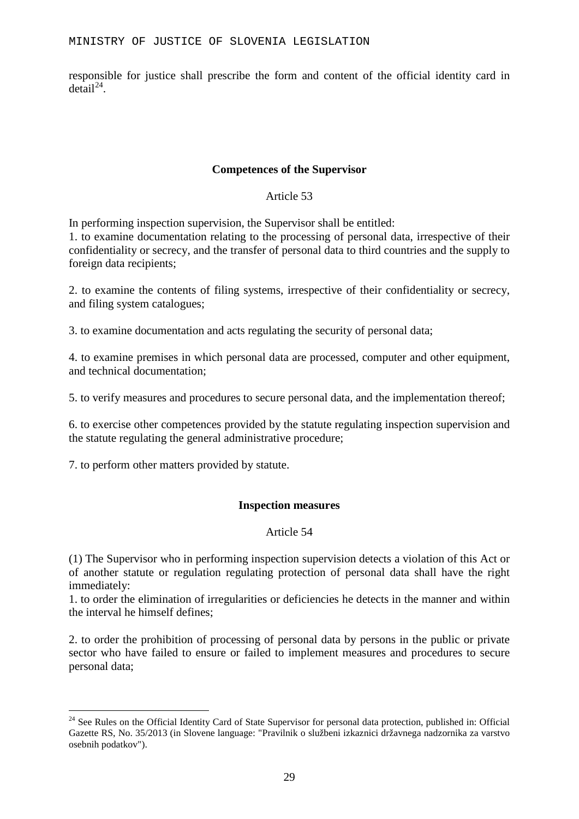responsible for justice shall prescribe the form and content of the official identity card in  $det$ ail<sup>[24](#page-28-0)</sup>

### **Competences of the Supervisor**

Article 53

In performing inspection supervision, the Supervisor shall be entitled:

1. to examine documentation relating to the processing of personal data, irrespective of their confidentiality or secrecy, and the transfer of personal data to third countries and the supply to foreign data recipients;

2. to examine the contents of filing systems, irrespective of their confidentiality or secrecy, and filing system catalogues;

3. to examine documentation and acts regulating the security of personal data;

4. to examine premises in which personal data are processed, computer and other equipment, and technical documentation;

5. to verify measures and procedures to secure personal data, and the implementation thereof;

6. to exercise other competences provided by the statute regulating inspection supervision and the statute regulating the general administrative procedure;

7. to perform other matters provided by statute.

### **Inspection measures**

### Article 54

(1) The Supervisor who in performing inspection supervision detects a violation of this Act or of another statute or regulation regulating protection of personal data shall have the right immediately:

1. to order the elimination of irregularities or deficiencies he detects in the manner and within the interval he himself defines;

2. to order the prohibition of processing of personal data by persons in the public or private sector who have failed to ensure or failed to implement measures and procedures to secure personal data;

<span id="page-28-0"></span><sup>&</sup>lt;sup>24</sup> See Rules on the Official Identity Card of State Supervisor for personal data protection, published in: Official Gazette RS, No. 35/2013 (in Slovene language: "Pravilnik o službeni izkaznici državnega nadzornika za varstvo osebnih podatkov").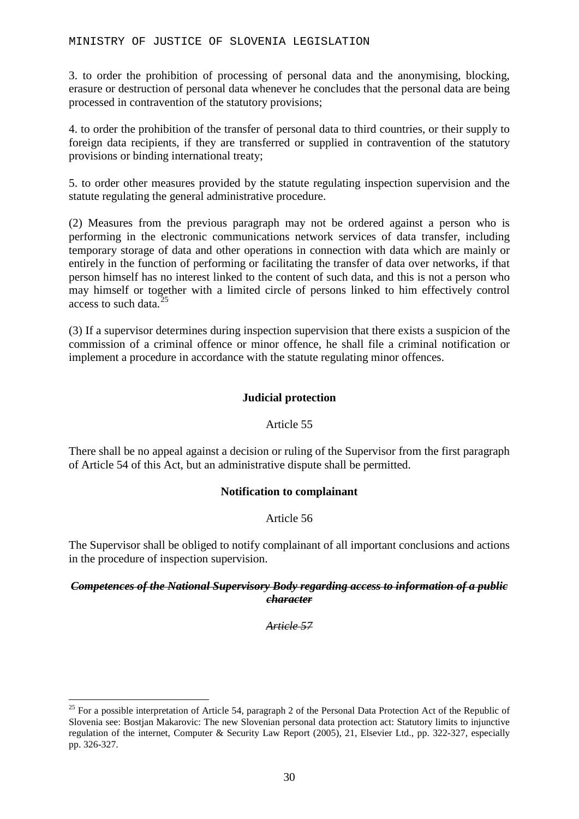3. to order the prohibition of processing of personal data and the anonymising, blocking, erasure or destruction of personal data whenever he concludes that the personal data are being processed in contravention of the statutory provisions;

4. to order the prohibition of the transfer of personal data to third countries, or their supply to foreign data recipients, if they are transferred or supplied in contravention of the statutory provisions or binding international treaty;

5. to order other measures provided by the statute regulating inspection supervision and the statute regulating the general administrative procedure.

(2) Measures from the previous paragraph may not be ordered against a person who is performing in the electronic communications network services of data transfer, including temporary storage of data and other operations in connection with data which are mainly or entirely in the function of performing or facilitating the transfer of data over networks, if that person himself has no interest linked to the content of such data, and this is not a person who may himself or together with a limited circle of persons linked to him effectively control access to such data<sup>[25](#page-29-0)</sup>

(3) If a supervisor determines during inspection supervision that there exists a suspicion of the commission of a criminal offence or minor offence, he shall file a criminal notification or implement a procedure in accordance with the statute regulating minor offences.

### **Judicial protection**

### Article 55

There shall be no appeal against a decision or ruling of the Supervisor from the first paragraph of Article 54 of this Act, but an administrative dispute shall be permitted.

### **Notification to complainant**

### Article 56

The Supervisor shall be obliged to notify complainant of all important conclusions and actions in the procedure of inspection supervision.

### *Competences of the National Supervisory Body regarding access to information of a public character*

*Article 57*

<span id="page-29-0"></span> $25$  For a possible interpretation of Article 54, paragraph 2 of the Personal Data Protection Act of the Republic of Slovenia see: Bostjan Makarovic: The new Slovenian personal data protection act: Statutory limits to injunctive regulation of the internet, Computer & Security Law Report (2005), 21, Elsevier Ltd., pp. 322-327, especially pp. 326-327.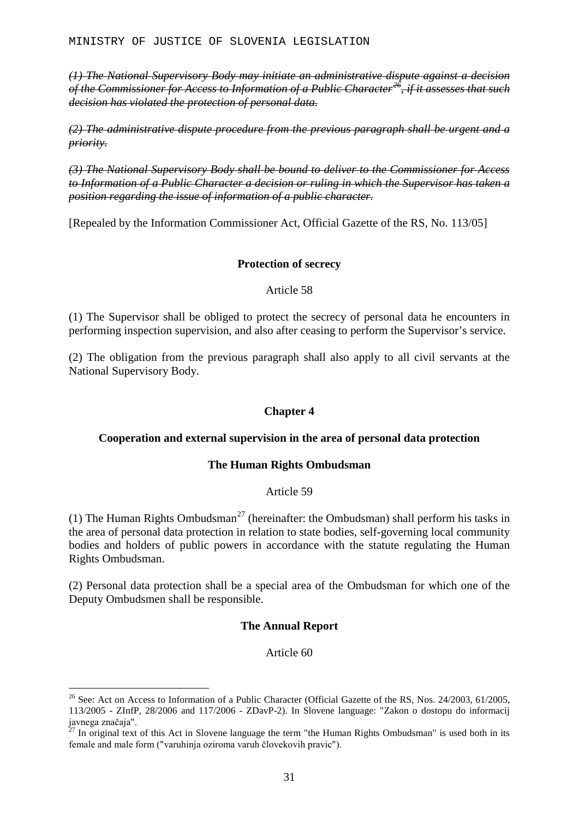*(1) The National Supervisory Body may initiate an administrative dispute against a decision of the Commissioner for Access to Information of a Public Character[26](#page-30-0), if it assesses that such decision has violated the protection of personal data.*

*(2) The administrative dispute procedure from the previous paragraph shall be urgent and a priority.*

*(3) The National Supervisory Body shall be bound to deliver to the Commissioner for Access*  to Information of a Public Character a decision or ruling in which the Supervisor has taken a *position regarding the issue of information of a public character.*

[Repealed by the Information Commissioner Act, Official Gazette of the RS, No. 113/05]

### **Protection of secrecy**

### Article 58

(1) The Supervisor shall be obliged to protect the secrecy of personal data he encounters in performing inspection supervision, and also after ceasing to perform the Supervisor's service.

(2) The obligation from the previous paragraph shall also apply to all civil servants at the National Supervisory Body.

### **Chapter 4**

### **Cooperation and external supervision in the area of personal data protection**

### **The Human Rights Ombudsman**

### Article 59

(1) The Human Rights Ombudsman<sup>[27](#page-30-1)</sup> (hereinafter: the Ombudsman) shall perform his tasks in the area of personal data protection in relation to state bodies, self-governing local community bodies and holders of public powers in accordance with the statute regulating the Human Rights Ombudsman.

(2) Personal data protection shall be a special area of the Ombudsman for which one of the Deputy Ombudsmen shall be responsible.

### **The Annual Report**

### Article 60

<span id="page-30-0"></span><sup>&</sup>lt;sup>26</sup> See: Act on Access to Information of a Public Character (Official Gazette of the RS, Nos. 24/2003, 61/2005, 113/2005 - ZInfP, 28/2006 and 117/2006 - ZDavP-2). In Slovene language: "Zakon o dostopu do informacij javnega značaja".

<span id="page-30-1"></span> $\frac{1}{27}$  In original text of this Act in Slovene language the term "the Human Rights Ombudsman" is used both in its female and male form ("varuhinja oziroma varuh človekovih pravic").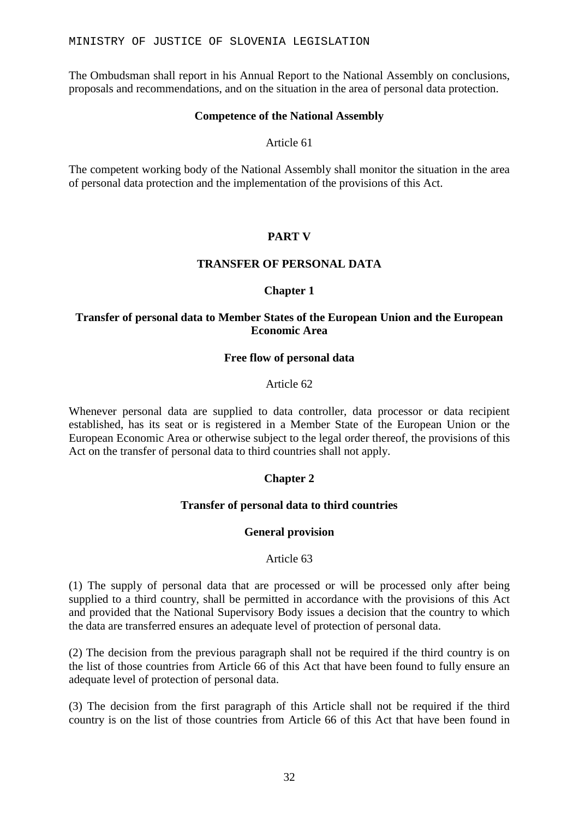The Ombudsman shall report in his Annual Report to the National Assembly on conclusions, proposals and recommendations, and on the situation in the area of personal data protection.

### **Competence of the National Assembly**

Article 61

The competent working body of the National Assembly shall monitor the situation in the area of personal data protection and the implementation of the provisions of this Act.

### **PART V**

### **TRANSFER OF PERSONAL DATA**

### **Chapter 1**

### **Transfer of personal data to Member States of the European Union and the European Economic Area**

### **Free flow of personal data**

#### Article 62

Whenever personal data are supplied to data controller, data processor or data recipient established, has its seat or is registered in a Member State of the European Union or the European Economic Area or otherwise subject to the legal order thereof, the provisions of this Act on the transfer of personal data to third countries shall not apply.

### **Chapter 2**

### **Transfer of personal data to third countries**

### **General provision**

#### Article 63

(1) The supply of personal data that are processed or will be processed only after being supplied to a third country, shall be permitted in accordance with the provisions of this Act and provided that the National Supervisory Body issues a decision that the country to which the data are transferred ensures an adequate level of protection of personal data.

(2) The decision from the previous paragraph shall not be required if the third country is on the list of those countries from Article 66 of this Act that have been found to fully ensure an adequate level of protection of personal data.

(3) The decision from the first paragraph of this Article shall not be required if the third country is on the list of those countries from Article 66 of this Act that have been found in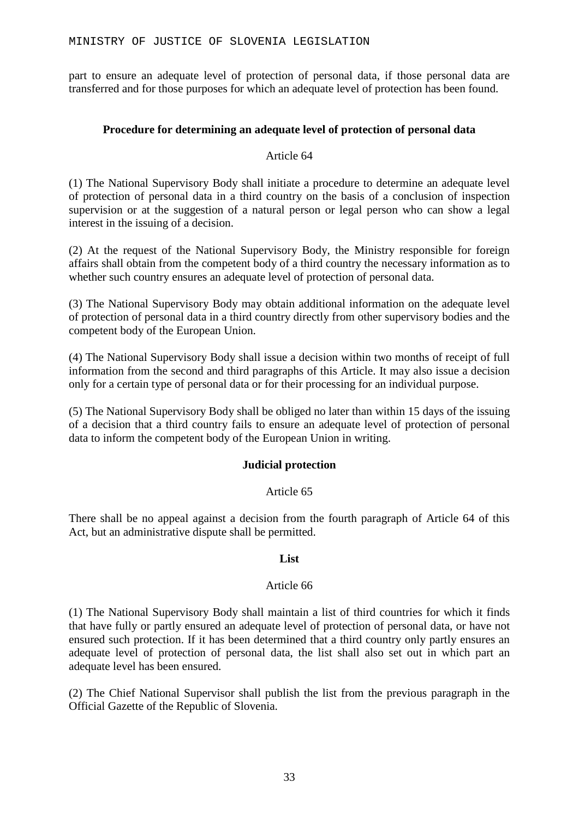part to ensure an adequate level of protection of personal data, if those personal data are transferred and for those purposes for which an adequate level of protection has been found.

### **Procedure for determining an adequate level of protection of personal data**

### Article 64

(1) The National Supervisory Body shall initiate a procedure to determine an adequate level of protection of personal data in a third country on the basis of a conclusion of inspection supervision or at the suggestion of a natural person or legal person who can show a legal interest in the issuing of a decision.

(2) At the request of the National Supervisory Body, the Ministry responsible for foreign affairs shall obtain from the competent body of a third country the necessary information as to whether such country ensures an adequate level of protection of personal data.

(3) The National Supervisory Body may obtain additional information on the adequate level of protection of personal data in a third country directly from other supervisory bodies and the competent body of the European Union.

(4) The National Supervisory Body shall issue a decision within two months of receipt of full information from the second and third paragraphs of this Article. It may also issue a decision only for a certain type of personal data or for their processing for an individual purpose.

(5) The National Supervisory Body shall be obliged no later than within 15 days of the issuing of a decision that a third country fails to ensure an adequate level of protection of personal data to inform the competent body of the European Union in writing.

### **Judicial protection**

### Article 65

There shall be no appeal against a decision from the fourth paragraph of Article 64 of this Act, but an administrative dispute shall be permitted.

### **List**

### Article 66

(1) The National Supervisory Body shall maintain a list of third countries for which it finds that have fully or partly ensured an adequate level of protection of personal data, or have not ensured such protection. If it has been determined that a third country only partly ensures an adequate level of protection of personal data, the list shall also set out in which part an adequate level has been ensured.

(2) The Chief National Supervisor shall publish the list from the previous paragraph in the Official Gazette of the Republic of Slovenia.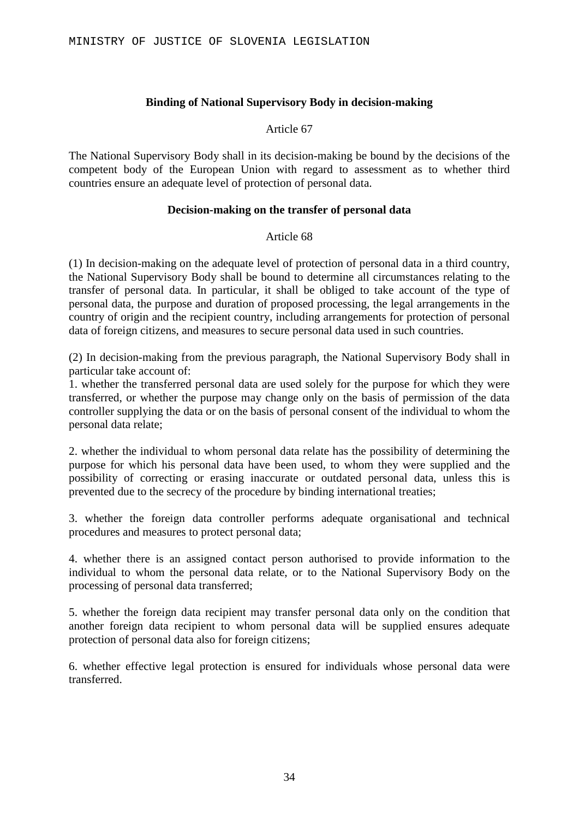### **Binding of National Supervisory Body in decision-making**

#### Article 67

The National Supervisory Body shall in its decision-making be bound by the decisions of the competent body of the European Union with regard to assessment as to whether third countries ensure an adequate level of protection of personal data.

#### **Decision-making on the transfer of personal data**

#### Article 68

(1) In decision-making on the adequate level of protection of personal data in a third country, the National Supervisory Body shall be bound to determine all circumstances relating to the transfer of personal data. In particular, it shall be obliged to take account of the type of personal data, the purpose and duration of proposed processing, the legal arrangements in the country of origin and the recipient country, including arrangements for protection of personal data of foreign citizens, and measures to secure personal data used in such countries.

(2) In decision-making from the previous paragraph, the National Supervisory Body shall in particular take account of:

1. whether the transferred personal data are used solely for the purpose for which they were transferred, or whether the purpose may change only on the basis of permission of the data controller supplying the data or on the basis of personal consent of the individual to whom the personal data relate;

2. whether the individual to whom personal data relate has the possibility of determining the purpose for which his personal data have been used, to whom they were supplied and the possibility of correcting or erasing inaccurate or outdated personal data, unless this is prevented due to the secrecy of the procedure by binding international treaties;

3. whether the foreign data controller performs adequate organisational and technical procedures and measures to protect personal data;

4. whether there is an assigned contact person authorised to provide information to the individual to whom the personal data relate, or to the National Supervisory Body on the processing of personal data transferred;

5. whether the foreign data recipient may transfer personal data only on the condition that another foreign data recipient to whom personal data will be supplied ensures adequate protection of personal data also for foreign citizens;

6. whether effective legal protection is ensured for individuals whose personal data were transferred.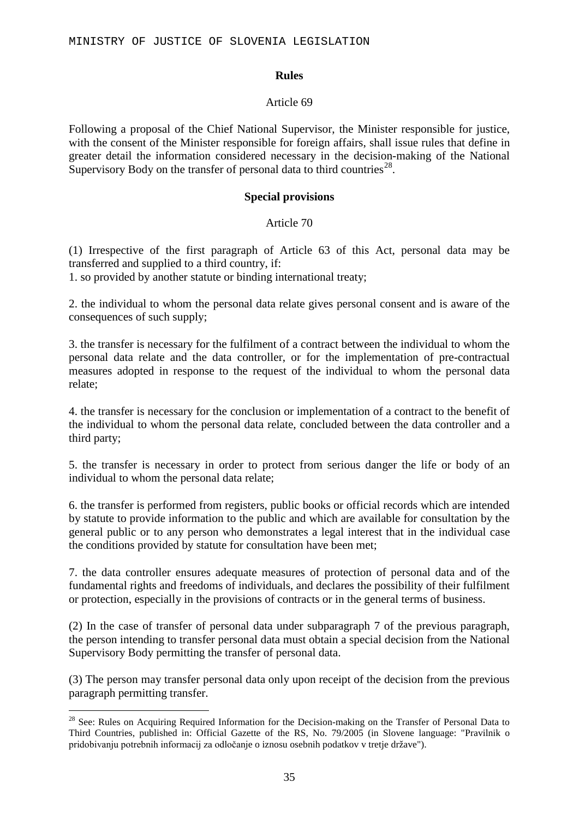### **Rules**

### Article 69

Following a proposal of the Chief National Supervisor, the Minister responsible for justice, with the consent of the Minister responsible for foreign affairs, shall issue rules that define in greater detail the information considered necessary in the decision-making of the National Supervisory Body on the transfer of personal data to third countries<sup>[28](#page-34-0)</sup>.

### **Special provisions**

### Article 70

(1) Irrespective of the first paragraph of Article 63 of this Act, personal data may be transferred and supplied to a third country, if:

1. so provided by another statute or binding international treaty;

2. the individual to whom the personal data relate gives personal consent and is aware of the consequences of such supply;

3. the transfer is necessary for the fulfilment of a contract between the individual to whom the personal data relate and the data controller, or for the implementation of pre-contractual measures adopted in response to the request of the individual to whom the personal data relate;

4. the transfer is necessary for the conclusion or implementation of a contract to the benefit of the individual to whom the personal data relate, concluded between the data controller and a third party;

5. the transfer is necessary in order to protect from serious danger the life or body of an individual to whom the personal data relate;

6. the transfer is performed from registers, public books or official records which are intended by statute to provide information to the public and which are available for consultation by the general public or to any person who demonstrates a legal interest that in the individual case the conditions provided by statute for consultation have been met;

7. the data controller ensures adequate measures of protection of personal data and of the fundamental rights and freedoms of individuals, and declares the possibility of their fulfilment or protection, especially in the provisions of contracts or in the general terms of business.

(2) In the case of transfer of personal data under subparagraph 7 of the previous paragraph, the person intending to transfer personal data must obtain a special decision from the National Supervisory Body permitting the transfer of personal data.

(3) The person may transfer personal data only upon receipt of the decision from the previous paragraph permitting transfer.

<span id="page-34-0"></span><sup>&</sup>lt;sup>28</sup> See: Rules on Acquiring Required Information for the Decision-making on the Transfer of Personal Data to Third Countries, published in: Official Gazette of the RS, No. 79/2005 (in Slovene language: "Pravilnik o pridobivanju potrebnih informacij za odločanje o iznosu osebnih podatkov v tretje države").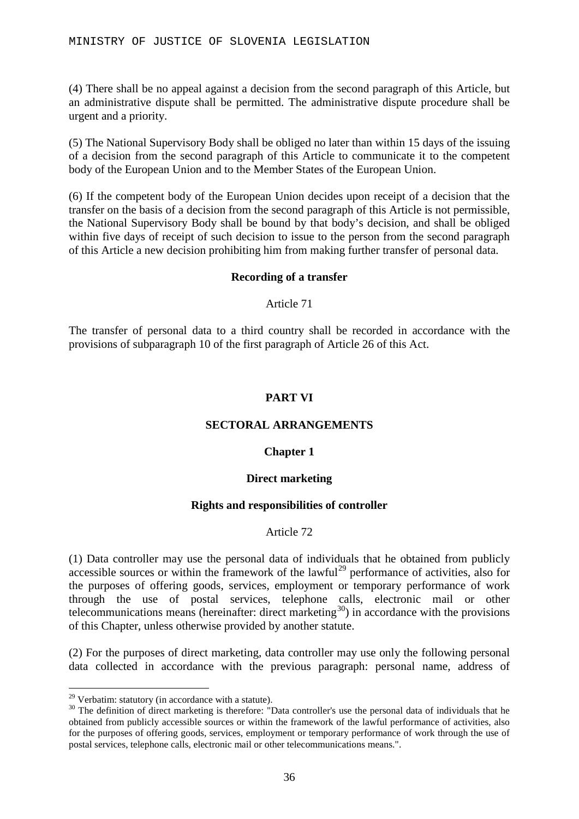(4) There shall be no appeal against a decision from the second paragraph of this Article, but an administrative dispute shall be permitted. The administrative dispute procedure shall be urgent and a priority.

(5) The National Supervisory Body shall be obliged no later than within 15 days of the issuing of a decision from the second paragraph of this Article to communicate it to the competent body of the European Union and to the Member States of the European Union.

(6) If the competent body of the European Union decides upon receipt of a decision that the transfer on the basis of a decision from the second paragraph of this Article is not permissible, the National Supervisory Body shall be bound by that body's decision, and shall be obliged within five days of receipt of such decision to issue to the person from the second paragraph of this Article a new decision prohibiting him from making further transfer of personal data.

### **Recording of a transfer**

### Article 71

The transfer of personal data to a third country shall be recorded in accordance with the provisions of subparagraph 10 of the first paragraph of Article 26 of this Act.

### **PART VI**

### **SECTORAL ARRANGEMENTS**

### **Chapter 1**

### **Direct marketing**

### **Rights and responsibilities of controller**

### Article 72

(1) Data controller may use the personal data of individuals that he obtained from publicly accessible sources or within the framework of the lawful<sup>[29](#page-35-0)</sup> performance of activities, also for the purposes of offering goods, services, employment or temporary performance of work through the use of postal services, telephone calls, electronic mail or other telecommunications means (hereinafter: direct marketing<sup>[30](#page-35-1)</sup>) in accordance with the provisions of this Chapter, unless otherwise provided by another statute.

(2) For the purposes of direct marketing, data controller may use only the following personal data collected in accordance with the previous paragraph: personal name, address of

<span id="page-35-1"></span><span id="page-35-0"></span><sup>&</sup>lt;sup>29</sup> Verbatim: statutory (in accordance with a statute).<br><sup>30</sup> The definition of direct marketing is therefore: "Data controller's use the personal data of individuals that he obtained from publicly accessible sources or within the framework of the lawful performance of activities, also for the purposes of offering goods, services, employment or temporary performance of work through the use of postal services, telephone calls, electronic mail or other telecommunications means.".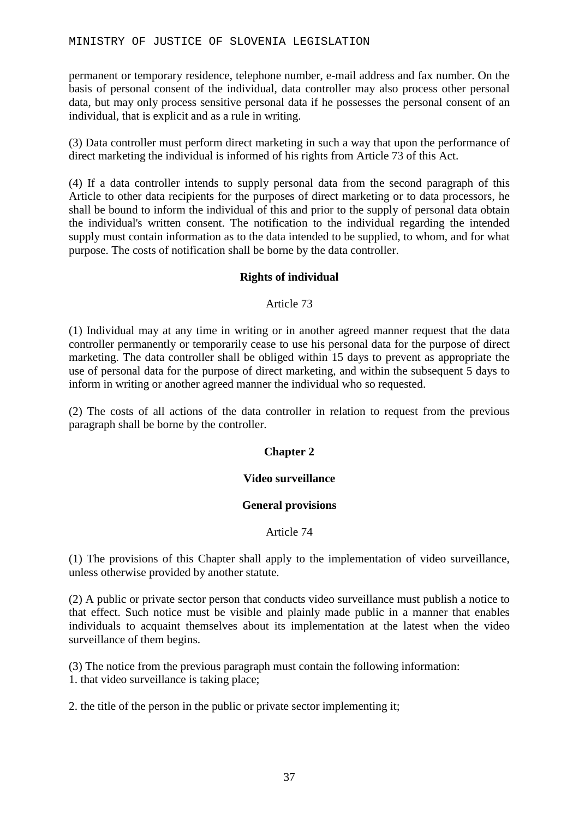permanent or temporary residence, telephone number, e-mail address and fax number. On the basis of personal consent of the individual, data controller may also process other personal data, but may only process sensitive personal data if he possesses the personal consent of an individual, that is explicit and as a rule in writing.

(3) Data controller must perform direct marketing in such a way that upon the performance of direct marketing the individual is informed of his rights from Article 73 of this Act.

(4) If a data controller intends to supply personal data from the second paragraph of this Article to other data recipients for the purposes of direct marketing or to data processors, he shall be bound to inform the individual of this and prior to the supply of personal data obtain the individual's written consent. The notification to the individual regarding the intended supply must contain information as to the data intended to be supplied, to whom, and for what purpose. The costs of notification shall be borne by the data controller.

### **Rights of individual**

### Article 73

(1) Individual may at any time in writing or in another agreed manner request that the data controller permanently or temporarily cease to use his personal data for the purpose of direct marketing. The data controller shall be obliged within 15 days to prevent as appropriate the use of personal data for the purpose of direct marketing, and within the subsequent 5 days to inform in writing or another agreed manner the individual who so requested.

(2) The costs of all actions of the data controller in relation to request from the previous paragraph shall be borne by the controller.

### **Chapter 2**

### **Video surveillance**

### **General provisions**

### Article 74

(1) The provisions of this Chapter shall apply to the implementation of video surveillance, unless otherwise provided by another statute.

(2) A public or private sector person that conducts video surveillance must publish a notice to that effect. Such notice must be visible and plainly made public in a manner that enables individuals to acquaint themselves about its implementation at the latest when the video surveillance of them begins.

(3) The notice from the previous paragraph must contain the following information: 1. that video surveillance is taking place;

2. the title of the person in the public or private sector implementing it;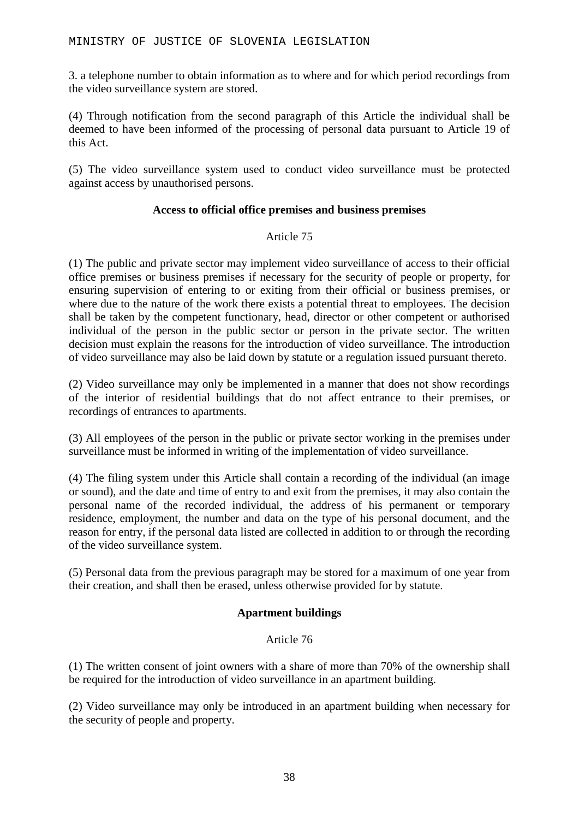3. a telephone number to obtain information as to where and for which period recordings from the video surveillance system are stored.

(4) Through notification from the second paragraph of this Article the individual shall be deemed to have been informed of the processing of personal data pursuant to Article 19 of this Act.

(5) The video surveillance system used to conduct video surveillance must be protected against access by unauthorised persons.

### **Access to official office premises and business premises**

### Article 75

(1) The public and private sector may implement video surveillance of access to their official office premises or business premises if necessary for the security of people or property, for ensuring supervision of entering to or exiting from their official or business premises, or where due to the nature of the work there exists a potential threat to employees. The decision shall be taken by the competent functionary, head, director or other competent or authorised individual of the person in the public sector or person in the private sector. The written decision must explain the reasons for the introduction of video surveillance. The introduction of video surveillance may also be laid down by statute or a regulation issued pursuant thereto.

(2) Video surveillance may only be implemented in a manner that does not show recordings of the interior of residential buildings that do not affect entrance to their premises, or recordings of entrances to apartments.

(3) All employees of the person in the public or private sector working in the premises under surveillance must be informed in writing of the implementation of video surveillance.

(4) The filing system under this Article shall contain a recording of the individual (an image or sound), and the date and time of entry to and exit from the premises, it may also contain the personal name of the recorded individual, the address of his permanent or temporary residence, employment, the number and data on the type of his personal document, and the reason for entry, if the personal data listed are collected in addition to or through the recording of the video surveillance system.

(5) Personal data from the previous paragraph may be stored for a maximum of one year from their creation, and shall then be erased, unless otherwise provided for by statute.

### **Apartment buildings**

### Article 76

(1) The written consent of joint owners with a share of more than 70% of the ownership shall be required for the introduction of video surveillance in an apartment building.

(2) Video surveillance may only be introduced in an apartment building when necessary for the security of people and property.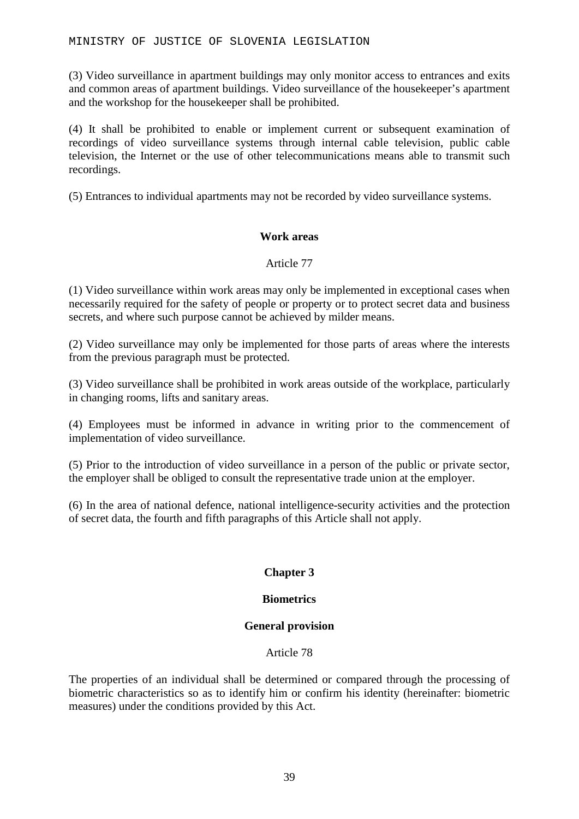(3) Video surveillance in apartment buildings may only monitor access to entrances and exits and common areas of apartment buildings. Video surveillance of the housekeeper's apartment and the workshop for the housekeeper shall be prohibited.

(4) It shall be prohibited to enable or implement current or subsequent examination of recordings of video surveillance systems through internal cable television, public cable television, the Internet or the use of other telecommunications means able to transmit such recordings.

(5) Entrances to individual apartments may not be recorded by video surveillance systems.

### **Work areas**

### Article 77

(1) Video surveillance within work areas may only be implemented in exceptional cases when necessarily required for the safety of people or property or to protect secret data and business secrets, and where such purpose cannot be achieved by milder means.

(2) Video surveillance may only be implemented for those parts of areas where the interests from the previous paragraph must be protected.

(3) Video surveillance shall be prohibited in work areas outside of the workplace, particularly in changing rooms, lifts and sanitary areas.

(4) Employees must be informed in advance in writing prior to the commencement of implementation of video surveillance.

(5) Prior to the introduction of video surveillance in a person of the public or private sector, the employer shall be obliged to consult the representative trade union at the employer.

(6) In the area of national defence, national intelligence-security activities and the protection of secret data, the fourth and fifth paragraphs of this Article shall not apply.

### **Chapter 3**

### **Biometrics**

### **General provision**

### Article 78

The properties of an individual shall be determined or compared through the processing of biometric characteristics so as to identify him or confirm his identity (hereinafter: biometric measures) under the conditions provided by this Act.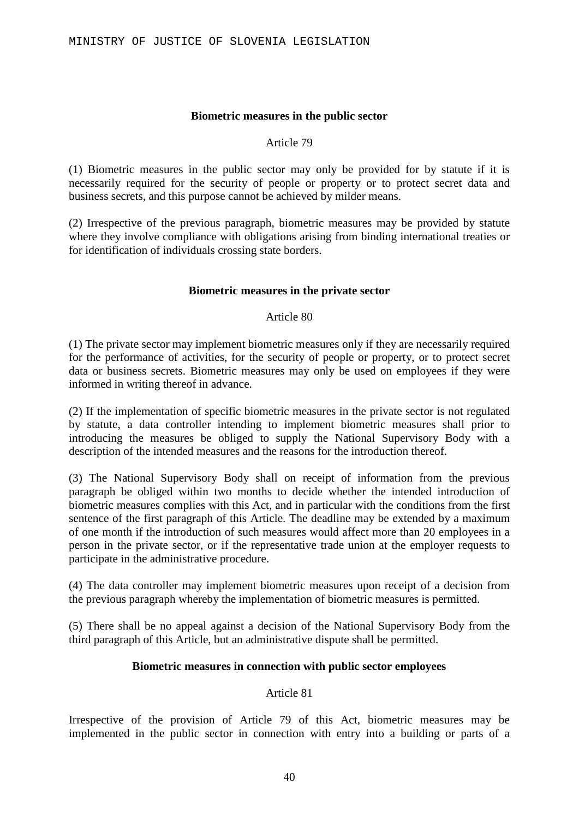#### **Biometric measures in the public sector**

#### Article 79

(1) Biometric measures in the public sector may only be provided for by statute if it is necessarily required for the security of people or property or to protect secret data and business secrets, and this purpose cannot be achieved by milder means.

(2) Irrespective of the previous paragraph, biometric measures may be provided by statute where they involve compliance with obligations arising from binding international treaties or for identification of individuals crossing state borders.

#### **Biometric measures in the private sector**

#### Article 80

(1) The private sector may implement biometric measures only if they are necessarily required for the performance of activities, for the security of people or property, or to protect secret data or business secrets. Biometric measures may only be used on employees if they were informed in writing thereof in advance.

(2) If the implementation of specific biometric measures in the private sector is not regulated by statute, a data controller intending to implement biometric measures shall prior to introducing the measures be obliged to supply the National Supervisory Body with a description of the intended measures and the reasons for the introduction thereof.

(3) The National Supervisory Body shall on receipt of information from the previous paragraph be obliged within two months to decide whether the intended introduction of biometric measures complies with this Act, and in particular with the conditions from the first sentence of the first paragraph of this Article. The deadline may be extended by a maximum of one month if the introduction of such measures would affect more than 20 employees in a person in the private sector, or if the representative trade union at the employer requests to participate in the administrative procedure.

(4) The data controller may implement biometric measures upon receipt of a decision from the previous paragraph whereby the implementation of biometric measures is permitted.

(5) There shall be no appeal against a decision of the National Supervisory Body from the third paragraph of this Article, but an administrative dispute shall be permitted.

### **Biometric measures in connection with public sector employees**

### Article 81

Irrespective of the provision of Article 79 of this Act, biometric measures may be implemented in the public sector in connection with entry into a building or parts of a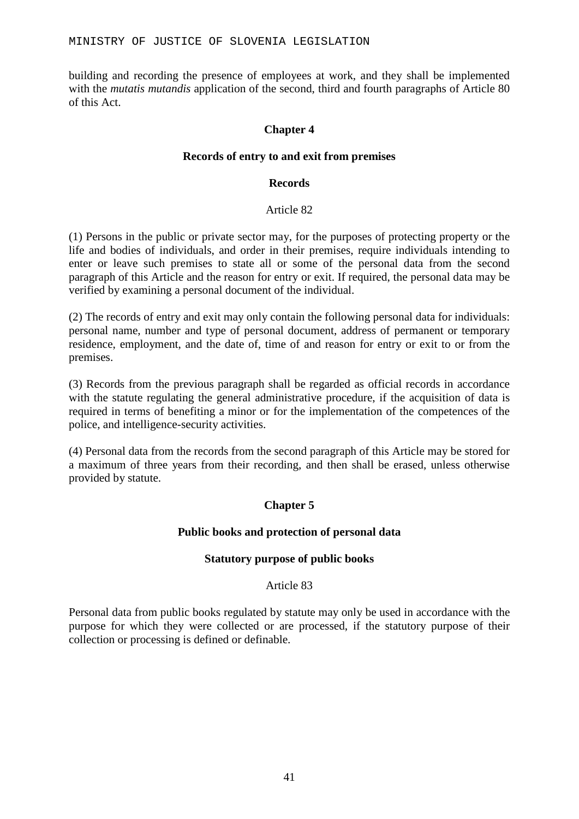building and recording the presence of employees at work, and they shall be implemented with the *mutatis mutandis* application of the second, third and fourth paragraphs of Article 80 of this Act.

### **Chapter 4**

### **Records of entry to and exit from premises**

#### **Records**

### Article 82

(1) Persons in the public or private sector may, for the purposes of protecting property or the life and bodies of individuals, and order in their premises, require individuals intending to enter or leave such premises to state all or some of the personal data from the second paragraph of this Article and the reason for entry or exit. If required, the personal data may be verified by examining a personal document of the individual.

(2) The records of entry and exit may only contain the following personal data for individuals: personal name, number and type of personal document, address of permanent or temporary residence, employment, and the date of, time of and reason for entry or exit to or from the premises.

(3) Records from the previous paragraph shall be regarded as official records in accordance with the statute regulating the general administrative procedure, if the acquisition of data is required in terms of benefiting a minor or for the implementation of the competences of the police, and intelligence-security activities.

(4) Personal data from the records from the second paragraph of this Article may be stored for a maximum of three years from their recording, and then shall be erased, unless otherwise provided by statute.

### **Chapter 5**

### **Public books and protection of personal data**

### **Statutory purpose of public books**

### Article 83

Personal data from public books regulated by statute may only be used in accordance with the purpose for which they were collected or are processed, if the statutory purpose of their collection or processing is defined or definable.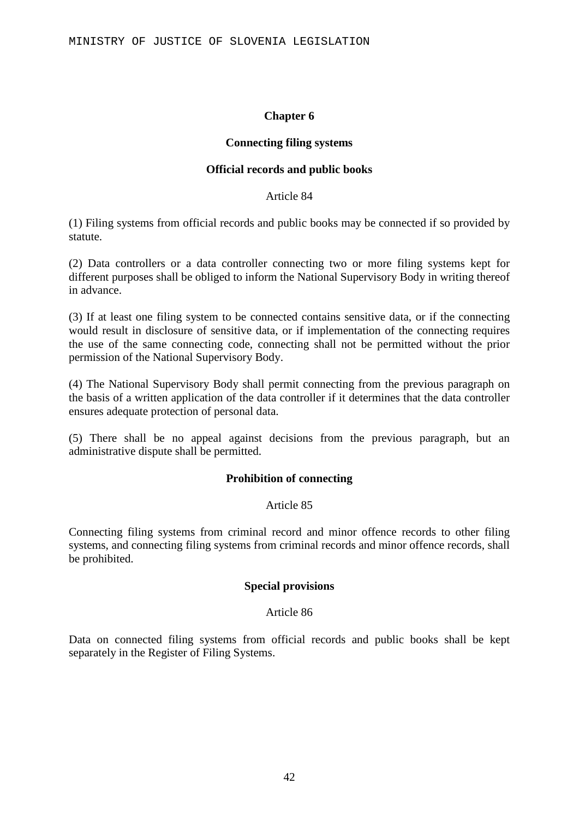#### **Chapter 6**

#### **Connecting filing systems**

#### **Official records and public books**

#### Article 84

(1) Filing systems from official records and public books may be connected if so provided by statute.

(2) Data controllers or a data controller connecting two or more filing systems kept for different purposes shall be obliged to inform the National Supervisory Body in writing thereof in advance.

(3) If at least one filing system to be connected contains sensitive data, or if the connecting would result in disclosure of sensitive data, or if implementation of the connecting requires the use of the same connecting code, connecting shall not be permitted without the prior permission of the National Supervisory Body.

(4) The National Supervisory Body shall permit connecting from the previous paragraph on the basis of a written application of the data controller if it determines that the data controller ensures adequate protection of personal data.

(5) There shall be no appeal against decisions from the previous paragraph, but an administrative dispute shall be permitted.

### **Prohibition of connecting**

#### Article 85

Connecting filing systems from criminal record and minor offence records to other filing systems, and connecting filing systems from criminal records and minor offence records, shall be prohibited.

#### **Special provisions**

#### Article 86

Data on connected filing systems from official records and public books shall be kept separately in the Register of Filing Systems.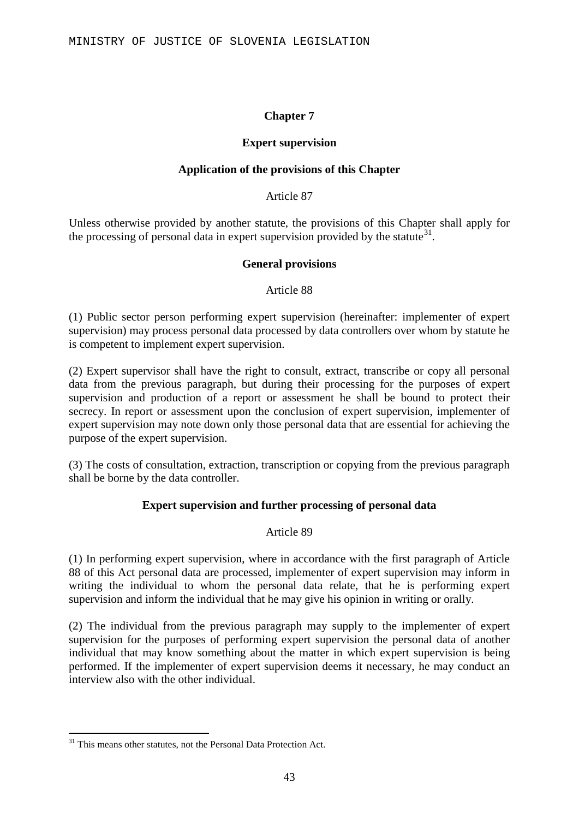### **Chapter 7**

### **Expert supervision**

### **Application of the provisions of this Chapter**

Article 87

Unless otherwise provided by another statute, the provisions of this Chapter shall apply for the processing of personal data in expert supervision provided by the statute  $31$ .

### **General provisions**

Article 88

(1) Public sector person performing expert supervision (hereinafter: implementer of expert supervision) may process personal data processed by data controllers over whom by statute he is competent to implement expert supervision.

(2) Expert supervisor shall have the right to consult, extract, transcribe or copy all personal data from the previous paragraph, but during their processing for the purposes of expert supervision and production of a report or assessment he shall be bound to protect their secrecy. In report or assessment upon the conclusion of expert supervision, implementer of expert supervision may note down only those personal data that are essential for achieving the purpose of the expert supervision.

(3) The costs of consultation, extraction, transcription or copying from the previous paragraph shall be borne by the data controller.

### **Expert supervision and further processing of personal data**

### Article 89

(1) In performing expert supervision, where in accordance with the first paragraph of Article 88 of this Act personal data are processed, implementer of expert supervision may inform in writing the individual to whom the personal data relate, that he is performing expert supervision and inform the individual that he may give his opinion in writing or orally.

(2) The individual from the previous paragraph may supply to the implementer of expert supervision for the purposes of performing expert supervision the personal data of another individual that may know something about the matter in which expert supervision is being performed. If the implementer of expert supervision deems it necessary, he may conduct an interview also with the other individual.

<span id="page-42-0"></span> $31$  This means other statutes, not the Personal Data Protection Act.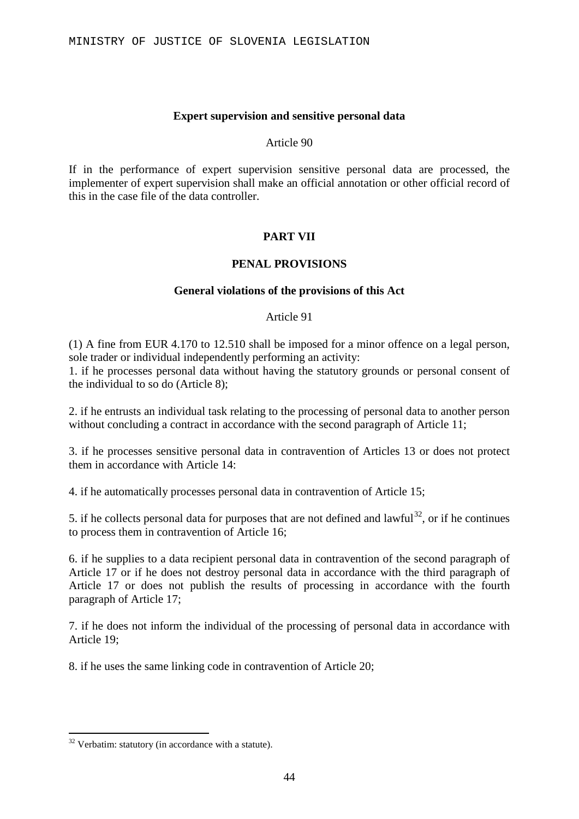### **Expert supervision and sensitive personal data**

#### Article 90

If in the performance of expert supervision sensitive personal data are processed, the implementer of expert supervision shall make an official annotation or other official record of this in the case file of the data controller.

### **PART VII**

### **PENAL PROVISIONS**

#### **General violations of the provisions of this Act**

#### Article 91

(1) A fine from EUR 4.170 to 12.510 shall be imposed for a minor offence on a legal person, sole trader or individual independently performing an activity:

1. if he processes personal data without having the statutory grounds or personal consent of the individual to so do (Article 8);

2. if he entrusts an individual task relating to the processing of personal data to another person without concluding a contract in accordance with the second paragraph of Article 11:

3. if he processes sensitive personal data in contravention of Articles 13 or does not protect them in accordance with Article 14:

4. if he automatically processes personal data in contravention of Article 15;

5. if he collects personal data for purposes that are not defined and lawful<sup>[32](#page-43-0)</sup>, or if he continues to process them in contravention of Article 16;

6. if he supplies to a data recipient personal data in contravention of the second paragraph of Article 17 or if he does not destroy personal data in accordance with the third paragraph of Article 17 or does not publish the results of processing in accordance with the fourth paragraph of Article 17;

7. if he does not inform the individual of the processing of personal data in accordance with Article 19;

8. if he uses the same linking code in contravention of Article 20;

<span id="page-43-0"></span> <sup>32</sup> Verbatim: statutory (in accordance with a statute).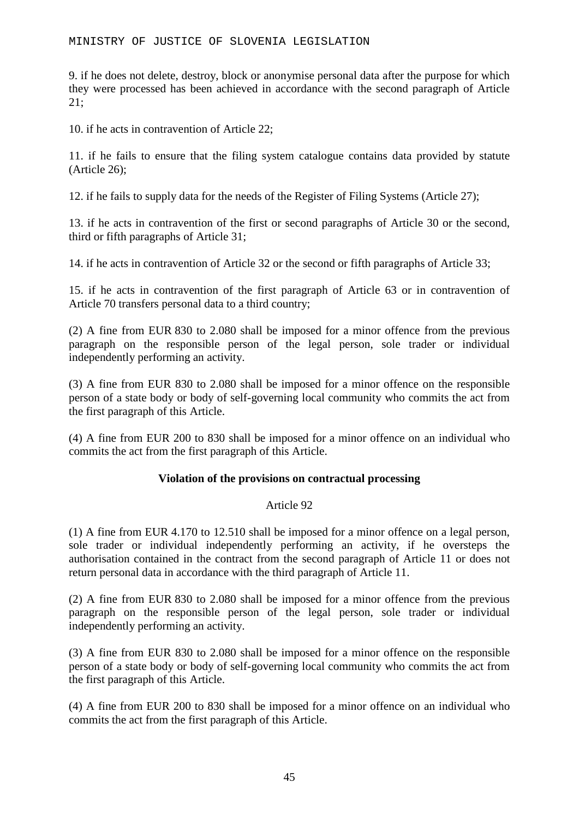9. if he does not delete, destroy, block or anonymise personal data after the purpose for which they were processed has been achieved in accordance with the second paragraph of Article 21;

10. if he acts in contravention of Article 22;

11. if he fails to ensure that the filing system catalogue contains data provided by statute (Article 26);

12. if he fails to supply data for the needs of the Register of Filing Systems (Article 27);

13. if he acts in contravention of the first or second paragraphs of Article 30 or the second, third or fifth paragraphs of Article 31;

14. if he acts in contravention of Article 32 or the second or fifth paragraphs of Article 33;

15. if he acts in contravention of the first paragraph of Article 63 or in contravention of Article 70 transfers personal data to a third country;

(2) A fine from EUR 830 to 2.080 shall be imposed for a minor offence from the previous paragraph on the responsible person of the legal person, sole trader or individual independently performing an activity.

(3) A fine from EUR 830 to 2.080 shall be imposed for a minor offence on the responsible person of a state body or body of self-governing local community who commits the act from the first paragraph of this Article.

(4) A fine from EUR 200 to 830 shall be imposed for a minor offence on an individual who commits the act from the first paragraph of this Article.

### **Violation of the provisions on contractual processing**

### Article 92

(1) A fine from EUR 4.170 to 12.510 shall be imposed for a minor offence on a legal person, sole trader or individual independently performing an activity, if he oversteps the authorisation contained in the contract from the second paragraph of Article 11 or does not return personal data in accordance with the third paragraph of Article 11.

(2) A fine from EUR 830 to 2.080 shall be imposed for a minor offence from the previous paragraph on the responsible person of the legal person, sole trader or individual independently performing an activity.

(3) A fine from EUR 830 to 2.080 shall be imposed for a minor offence on the responsible person of a state body or body of self-governing local community who commits the act from the first paragraph of this Article.

(4) A fine from EUR 200 to 830 shall be imposed for a minor offence on an individual who commits the act from the first paragraph of this Article.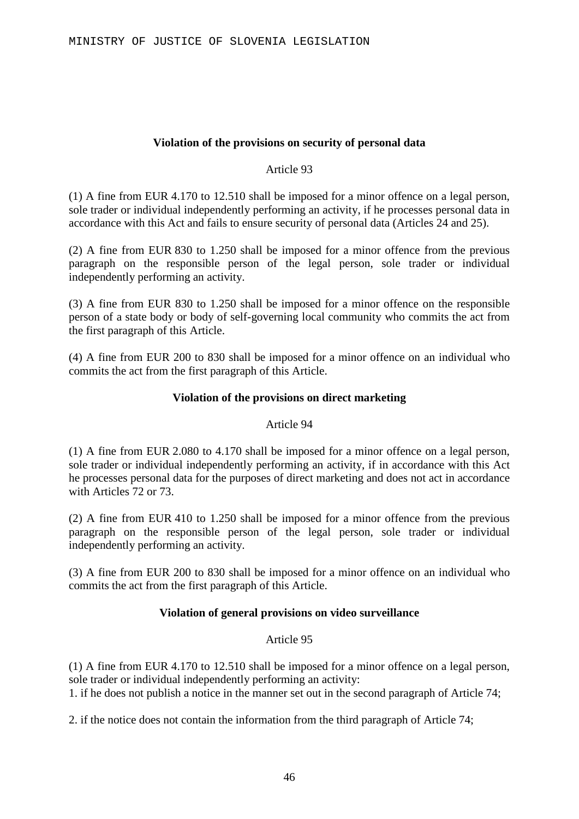### **Violation of the provisions on security of personal data**

### Article 93

(1) A fine from EUR 4.170 to 12.510 shall be imposed for a minor offence on a legal person, sole trader or individual independently performing an activity, if he processes personal data in accordance with this Act and fails to ensure security of personal data (Articles 24 and 25).

(2) A fine from EUR 830 to 1.250 shall be imposed for a minor offence from the previous paragraph on the responsible person of the legal person, sole trader or individual independently performing an activity.

(3) A fine from EUR 830 to 1.250 shall be imposed for a minor offence on the responsible person of a state body or body of self-governing local community who commits the act from the first paragraph of this Article.

(4) A fine from EUR 200 to 830 shall be imposed for a minor offence on an individual who commits the act from the first paragraph of this Article.

### **Violation of the provisions on direct marketing**

### Article 94

(1) A fine from EUR 2.080 to 4.170 shall be imposed for a minor offence on a legal person, sole trader or individual independently performing an activity, if in accordance with this Act he processes personal data for the purposes of direct marketing and does not act in accordance with Articles 72 or 73.

(2) A fine from EUR 410 to 1.250 shall be imposed for a minor offence from the previous paragraph on the responsible person of the legal person, sole trader or individual independently performing an activity.

(3) A fine from EUR 200 to 830 shall be imposed for a minor offence on an individual who commits the act from the first paragraph of this Article.

### **Violation of general provisions on video surveillance**

### Article 95

(1) A fine from EUR 4.170 to 12.510 shall be imposed for a minor offence on a legal person, sole trader or individual independently performing an activity:

1. if he does not publish a notice in the manner set out in the second paragraph of Article 74;

2. if the notice does not contain the information from the third paragraph of Article 74;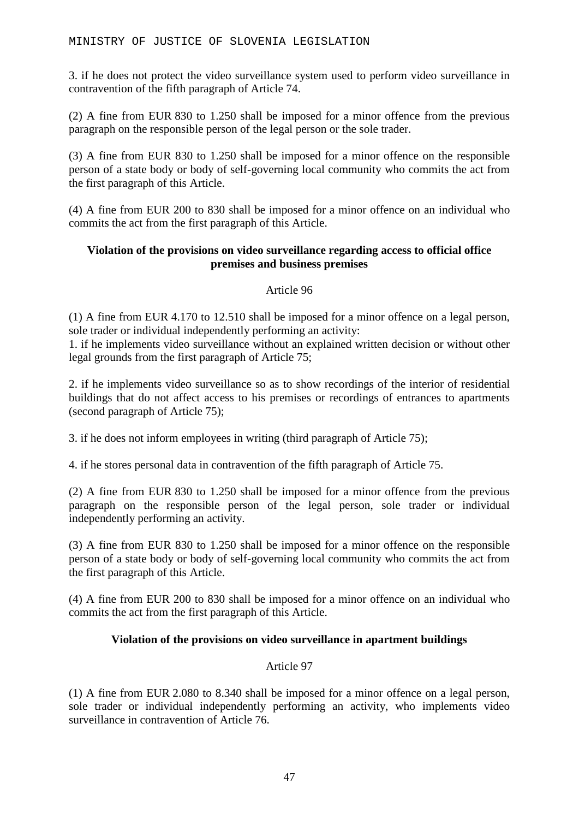3. if he does not protect the video surveillance system used to perform video surveillance in contravention of the fifth paragraph of Article 74.

(2) A fine from EUR 830 to 1.250 shall be imposed for a minor offence from the previous paragraph on the responsible person of the legal person or the sole trader.

(3) A fine from EUR 830 to 1.250 shall be imposed for a minor offence on the responsible person of a state body or body of self-governing local community who commits the act from the first paragraph of this Article.

(4) A fine from EUR 200 to 830 shall be imposed for a minor offence on an individual who commits the act from the first paragraph of this Article.

### **Violation of the provisions on video surveillance regarding access to official office premises and business premises**

Article 96

(1) A fine from EUR 4.170 to 12.510 shall be imposed for a minor offence on a legal person, sole trader or individual independently performing an activity:

1. if he implements video surveillance without an explained written decision or without other legal grounds from the first paragraph of Article 75;

2. if he implements video surveillance so as to show recordings of the interior of residential buildings that do not affect access to his premises or recordings of entrances to apartments (second paragraph of Article 75);

3. if he does not inform employees in writing (third paragraph of Article 75);

4. if he stores personal data in contravention of the fifth paragraph of Article 75.

(2) A fine from EUR 830 to 1.250 shall be imposed for a minor offence from the previous paragraph on the responsible person of the legal person, sole trader or individual independently performing an activity.

(3) A fine from EUR 830 to 1.250 shall be imposed for a minor offence on the responsible person of a state body or body of self-governing local community who commits the act from the first paragraph of this Article.

(4) A fine from EUR 200 to 830 shall be imposed for a minor offence on an individual who commits the act from the first paragraph of this Article.

### **Violation of the provisions on video surveillance in apartment buildings**

### Article 97

(1) A fine from EUR 2.080 to 8.340 shall be imposed for a minor offence on a legal person, sole trader or individual independently performing an activity, who implements video surveillance in contravention of Article 76.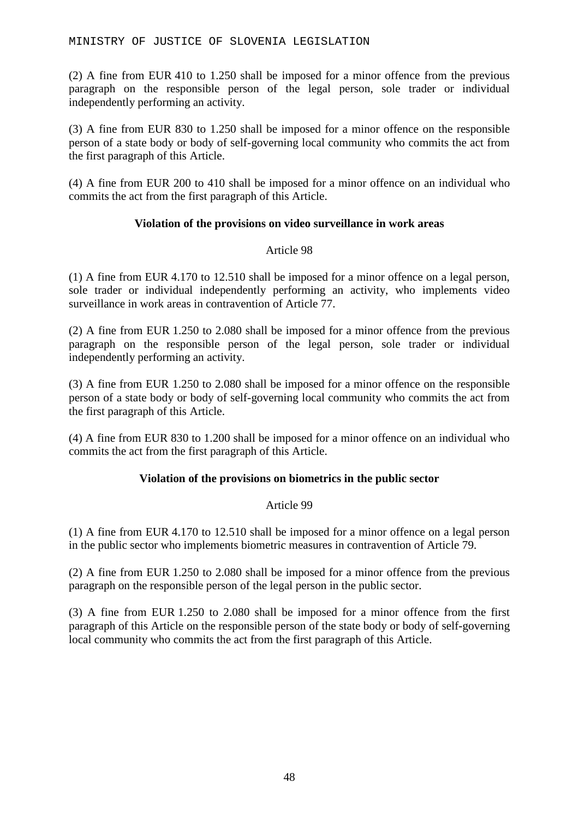(2) A fine from EUR 410 to 1.250 shall be imposed for a minor offence from the previous paragraph on the responsible person of the legal person, sole trader or individual independently performing an activity.

(3) A fine from EUR 830 to 1.250 shall be imposed for a minor offence on the responsible person of a state body or body of self-governing local community who commits the act from the first paragraph of this Article.

(4) A fine from EUR 200 to 410 shall be imposed for a minor offence on an individual who commits the act from the first paragraph of this Article.

### **Violation of the provisions on video surveillance in work areas**

### Article 98

(1) A fine from EUR 4.170 to 12.510 shall be imposed for a minor offence on a legal person, sole trader or individual independently performing an activity, who implements video surveillance in work areas in contravention of Article 77.

(2) A fine from EUR 1.250 to 2.080 shall be imposed for a minor offence from the previous paragraph on the responsible person of the legal person, sole trader or individual independently performing an activity.

(3) A fine from EUR 1.250 to 2.080 shall be imposed for a minor offence on the responsible person of a state body or body of self-governing local community who commits the act from the first paragraph of this Article.

(4) A fine from EUR 830 to 1.200 shall be imposed for a minor offence on an individual who commits the act from the first paragraph of this Article.

### **Violation of the provisions on biometrics in the public sector**

### Article 99

(1) A fine from EUR 4.170 to 12.510 shall be imposed for a minor offence on a legal person in the public sector who implements biometric measures in contravention of Article 79.

(2) A fine from EUR 1.250 to 2.080 shall be imposed for a minor offence from the previous paragraph on the responsible person of the legal person in the public sector.

(3) A fine from EUR 1.250 to 2.080 shall be imposed for a minor offence from the first paragraph of this Article on the responsible person of the state body or body of self-governing local community who commits the act from the first paragraph of this Article.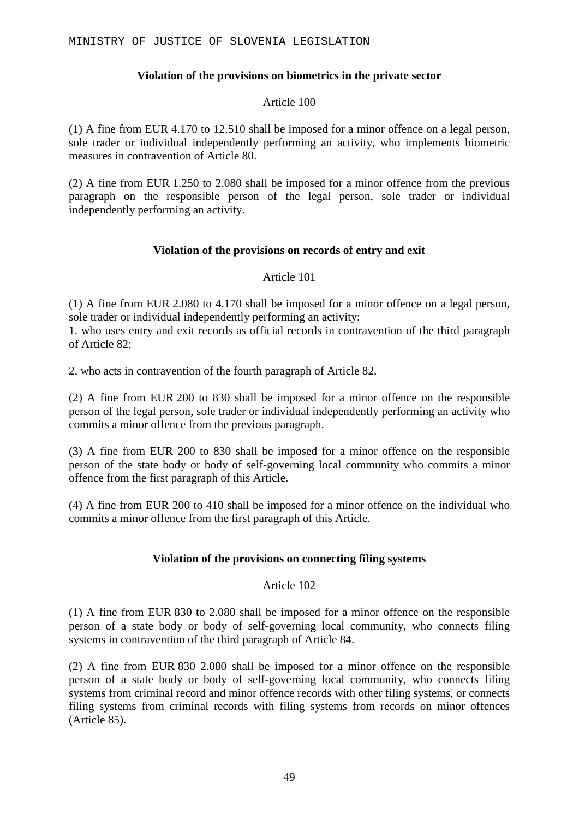### **Violation of the provisions on biometrics in the private sector**

### Article 100

(1) A fine from EUR 4.170 to 12.510 shall be imposed for a minor offence on a legal person, sole trader or individual independently performing an activity, who implements biometric measures in contravention of Article 80.

(2) A fine from EUR 1.250 to 2.080 shall be imposed for a minor offence from the previous paragraph on the responsible person of the legal person, sole trader or individual independently performing an activity.

### **Violation of the provisions on records of entry and exit**

### Article 101

(1) A fine from EUR 2.080 to 4.170 shall be imposed for a minor offence on a legal person, sole trader or individual independently performing an activity:

1. who uses entry and exit records as official records in contravention of the third paragraph of Article 82;

2. who acts in contravention of the fourth paragraph of Article 82.

(2) A fine from EUR 200 to 830 shall be imposed for a minor offence on the responsible person of the legal person, sole trader or individual independently performing an activity who commits a minor offence from the previous paragraph.

(3) A fine from EUR 200 to 830 shall be imposed for a minor offence on the responsible person of the state body or body of self-governing local community who commits a minor offence from the first paragraph of this Article.

(4) A fine from EUR 200 to 410 shall be imposed for a minor offence on the individual who commits a minor offence from the first paragraph of this Article.

### **Violation of the provisions on connecting filing systems**

### Article 102

(1) A fine from EUR 830 to 2.080 shall be imposed for a minor offence on the responsible person of a state body or body of self-governing local community, who connects filing systems in contravention of the third paragraph of Article 84.

(2) A fine from EUR 830 2.080 shall be imposed for a minor offence on the responsible person of a state body or body of self-governing local community, who connects filing systems from criminal record and minor offence records with other filing systems, or connects filing systems from criminal records with filing systems from records on minor offences (Article 85).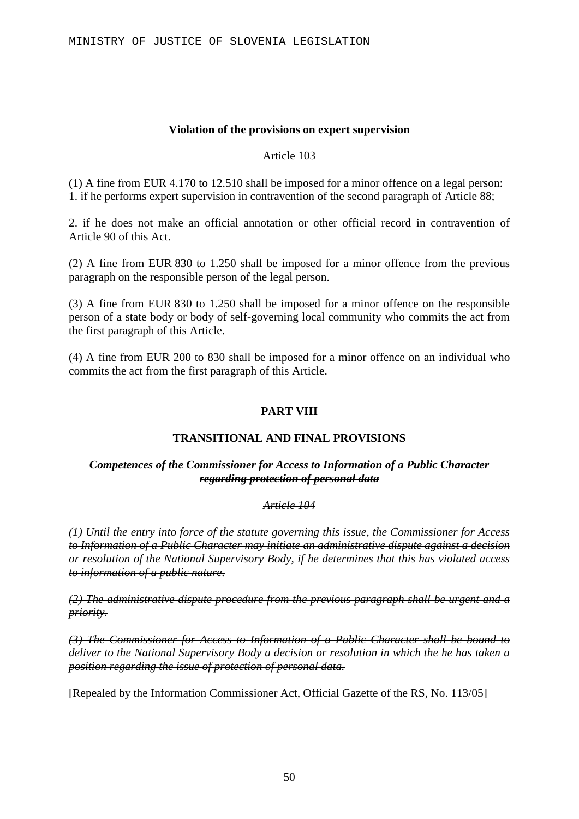#### **Violation of the provisions on expert supervision**

Article 103

(1) A fine from EUR 4.170 to 12.510 shall be imposed for a minor offence on a legal person: 1. if he performs expert supervision in contravention of the second paragraph of Article 88;

2. if he does not make an official annotation or other official record in contravention of Article 90 of this Act.

(2) A fine from EUR 830 to 1.250 shall be imposed for a minor offence from the previous paragraph on the responsible person of the legal person.

(3) A fine from EUR 830 to 1.250 shall be imposed for a minor offence on the responsible person of a state body or body of self-governing local community who commits the act from the first paragraph of this Article.

(4) A fine from EUR 200 to 830 shall be imposed for a minor offence on an individual who commits the act from the first paragraph of this Article.

### **PART VIII**

### **TRANSITIONAL AND FINAL PROVISIONS**

#### *Competences of the Commissioner for Access to Information of a Public Character regarding protection of personal data*

#### *Article 104*

*(1) Until the entry into force of the statute governing this issue, the Commissioner for Access to Information of a Public Character may initiate an administrative dispute against a decision or resolution of the National Supervisory Body, if he determines that this has violated access to information of a public nature.*

*(2) The administrative dispute procedure from the previous paragraph shall be urgent and a priority.*

*(3) The Commissioner for Access to Information of a Public Character shall be bound to deliver to the National Supervisory Body a decision or resolution in which the he has taken a position regarding the issue of protection of personal data.*

[Repealed by the Information Commissioner Act, Official Gazette of the RS, No. 113/05]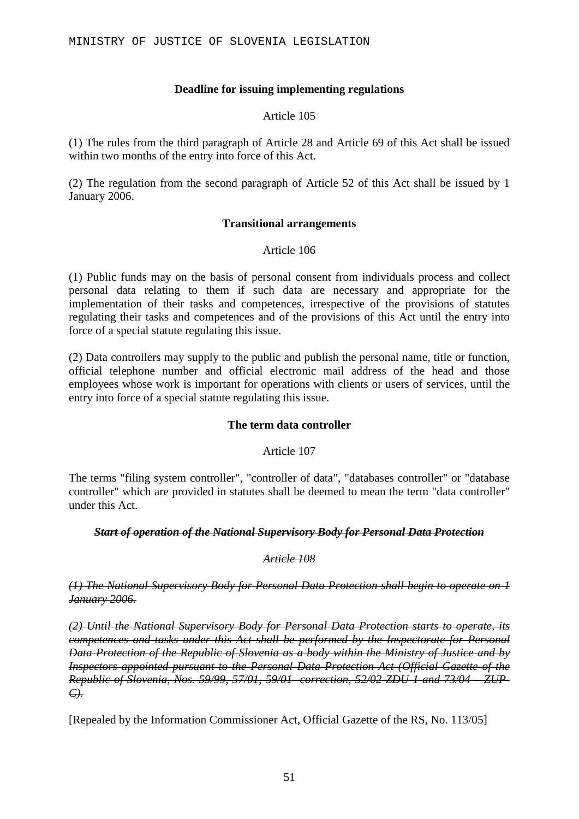### **Deadline for issuing implementing regulations**

### Article 105

(1) The rules from the third paragraph of Article 28 and Article 69 of this Act shall be issued within two months of the entry into force of this Act.

(2) The regulation from the second paragraph of Article 52 of this Act shall be issued by 1 January 2006.

### **Transitional arrangements**

### Article 106

(1) Public funds may on the basis of personal consent from individuals process and collect personal data relating to them if such data are necessary and appropriate for the implementation of their tasks and competences, irrespective of the provisions of statutes regulating their tasks and competences and of the provisions of this Act until the entry into force of a special statute regulating this issue.

(2) Data controllers may supply to the public and publish the personal name, title or function, official telephone number and official electronic mail address of the head and those employees whose work is important for operations with clients or users of services, until the entry into force of a special statute regulating this issue.

### **The term data controller**

Article 107

The terms "filing system controller", "controller of data", "databases controller" or "database controller" which are provided in statutes shall be deemed to mean the term "data controller" under this Act.

### *Start of operation of the National Supervisory Body for Personal Data Protection*

### *Article 108*

*(1) The National Supervisory Body for Personal Data Protection shall begin to operate on 1 January 2006.*

*(2) Until the National Supervisory Body for Personal Data Protection starts to operate, its competences and tasks under this Act shall be performed by the Inspectorate for Personal Data Protection of the Republic of Slovenia as a body within the Ministry of Justice and by Inspectors appointed pursuant to the Personal Data Protection Act (Official Gazette of the Republic of Slovenia, Nos. 59/99, 57/01, 59/01- correction, 52/02-ZDU-1 and 73/04 – ZUP-C).*

[Repealed by the Information Commissioner Act, Official Gazette of the RS, No. 113/05]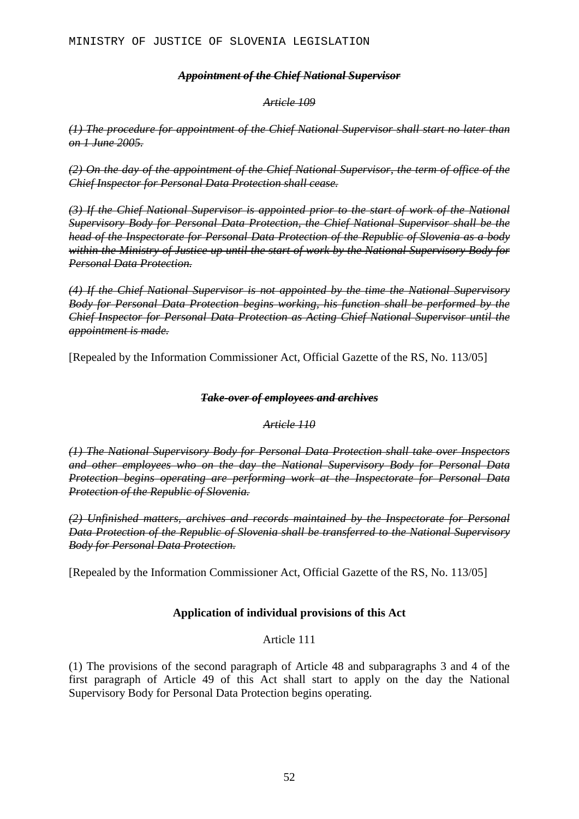### *Appointment of the Chief National Supervisor*

#### *Article 109*

*(1) The procedure for appointment of the Chief National Supervisor shall start no later than on 1 June 2005.*

*(2) On the day of the appointment of the Chief National Supervisor, the term of office of the Chief Inspector for Personal Data Protection shall cease.*

*(3) If the Chief National Supervisor is appointed prior to the start of work of the National Supervisory Body for Personal Data Protection, the Chief National Supervisor shall be the head of the Inspectorate for Personal Data Protection of the Republic of Slovenia as a body within the Ministry of Justice up until the start of work by the National Supervisory Body for Personal Data Protection.*

*(4) If the Chief National Supervisor is not appointed by the time the National Supervisory Body for Personal Data Protection begins working, his function shall be performed by the Chief Inspector for Personal Data Protection as Acting Chief National Supervisor until the appointment is made.*

[Repealed by the Information Commissioner Act, Official Gazette of the RS, No. 113/05]

### *Take-over of employees and archives*

### *Article 110*

*(1) The National Supervisory Body for Personal Data Protection shall take over Inspectors and other employees who on the day the National Supervisory Body for Personal Data Protection begins operating are performing work at the Inspectorate for Personal Data Protection of the Republic of Slovenia.*

*(2) Unfinished matters, archives and records maintained by the Inspectorate for Personal Data Protection of the Republic of Slovenia shall be transferred to the National Supervisory Body for Personal Data Protection.*

[Repealed by the Information Commissioner Act, Official Gazette of the RS, No. 113/05]

### **Application of individual provisions of this Act**

### Article 111

(1) The provisions of the second paragraph of Article 48 and subparagraphs 3 and 4 of the first paragraph of Article 49 of this Act shall start to apply on the day the National Supervisory Body for Personal Data Protection begins operating.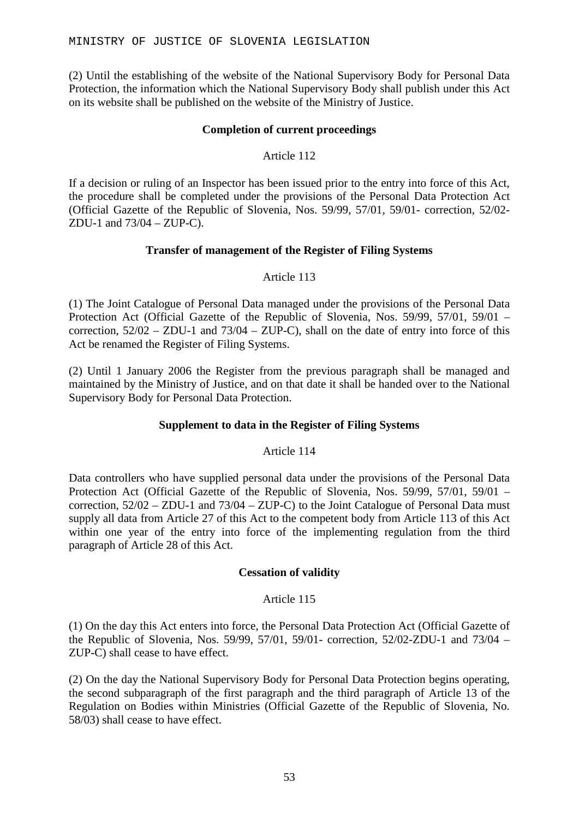(2) Until the establishing of the website of the National Supervisory Body for Personal Data Protection, the information which the National Supervisory Body shall publish under this Act on its website shall be published on the website of the Ministry of Justice.

### **Completion of current proceedings**

### Article 112

If a decision or ruling of an Inspector has been issued prior to the entry into force of this Act, the procedure shall be completed under the provisions of the Personal Data Protection Act (Official Gazette of the Republic of Slovenia, Nos. 59/99, 57/01, 59/01- correction, 52/02- ZDU-1 and 73/04 – ZUP-C).

### **Transfer of management of the Register of Filing Systems**

### Article 113

(1) The Joint Catalogue of Personal Data managed under the provisions of the Personal Data Protection Act (Official Gazette of the Republic of Slovenia, Nos. 59/99, 57/01, 59/01 – correction, 52/02 – ZDU-1 and 73/04 – ZUP-C), shall on the date of entry into force of this Act be renamed the Register of Filing Systems.

(2) Until 1 January 2006 the Register from the previous paragraph shall be managed and maintained by the Ministry of Justice, and on that date it shall be handed over to the National Supervisory Body for Personal Data Protection.

### **Supplement to data in the Register of Filing Systems**

### Article 114

Data controllers who have supplied personal data under the provisions of the Personal Data Protection Act (Official Gazette of the Republic of Slovenia, Nos. 59/99, 57/01, 59/01 – correction, 52/02 – ZDU-1 and 73/04 – ZUP-C) to the Joint Catalogue of Personal Data must supply all data from Article 27 of this Act to the competent body from Article 113 of this Act within one year of the entry into force of the implementing regulation from the third paragraph of Article 28 of this Act.

### **Cessation of validity**

### Article 115

(1) On the day this Act enters into force, the Personal Data Protection Act (Official Gazette of the Republic of Slovenia, Nos. 59/99, 57/01, 59/01- correction, 52/02-ZDU-1 and 73/04 – ZUP-C) shall cease to have effect.

(2) On the day the National Supervisory Body for Personal Data Protection begins operating, the second subparagraph of the first paragraph and the third paragraph of Article 13 of the Regulation on Bodies within Ministries (Official Gazette of the Republic of Slovenia, No. 58/03) shall cease to have effect.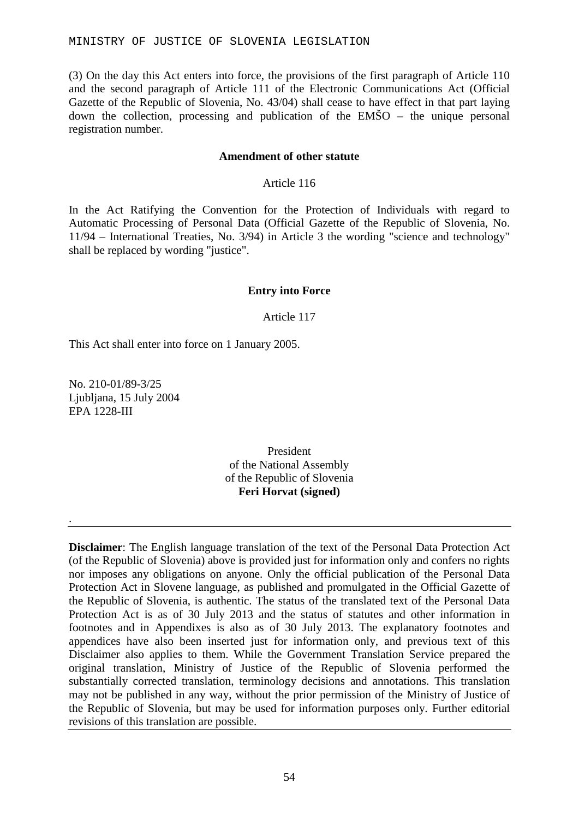(3) On the day this Act enters into force, the provisions of the first paragraph of Article 110 and the second paragraph of Article 111 of the Electronic Communications Act (Official Gazette of the Republic of Slovenia, No. 43/04) shall cease to have effect in that part laying down the collection, processing and publication of the  $EM\bullet O$  – the unique personal registration number.

### **Amendment of other statute**

### Article 116

In the Act Ratifying the Convention for the Protection of Individuals with regard to Automatic Processing of Personal Data (Official Gazette of the Republic of Slovenia, No. 11/94 – International Treaties, No. 3/94) in Article 3 the wording "science and technology" shall be replaced by wording "justice".

### **Entry into Force**

### Article 117

This Act shall enter into force on 1 January 2005.

No. 210-01/89-3/25 Ljubljana, 15 July 2004 EPA 1228-III

.

President of the National Assembly of the Republic of Slovenia **Feri Horvat (signed)**

**Disclaimer**: The English language translation of the text of the Personal Data Protection Act (of the Republic of Slovenia) above is provided just for information only and confers no rights nor imposes any obligations on anyone. Only the official publication of the Personal Data Protection Act in Slovene language, as published and promulgated in the Official Gazette of the Republic of Slovenia, is authentic. The status of the translated text of the Personal Data Protection Act is as of 30 July 2013 and the status of statutes and other information in footnotes and in Appendixes is also as of 30 July 2013. The explanatory footnotes and appendices have also been inserted just for information only, and previous text of this Disclaimer also applies to them. While the Government Translation Service prepared the original translation, Ministry of Justice of the Republic of Slovenia performed the substantially corrected translation, terminology decisions and annotations. This translation may not be published in any way, without the prior permission of the Ministry of Justice of the Republic of Slovenia, but may be used for information purposes only. Further editorial revisions of this translation are possible.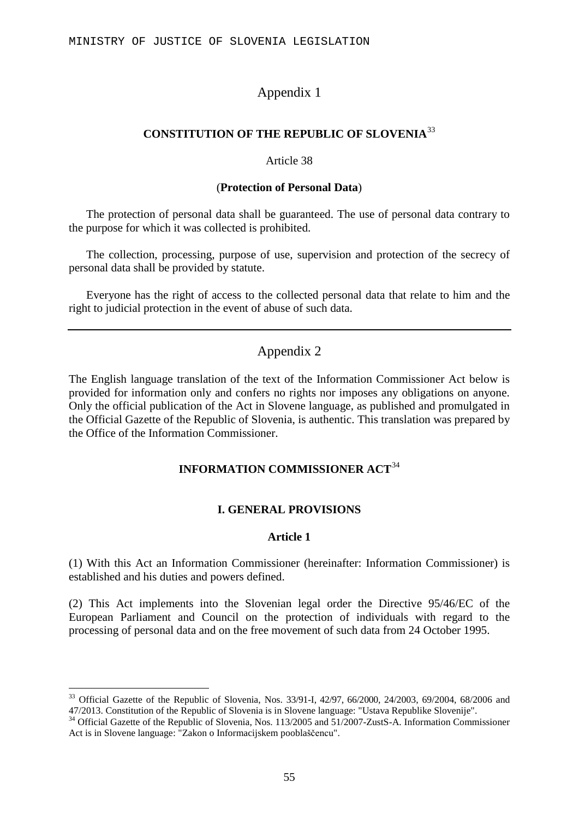# Appendix 1

### **CONSTITUTION OF THE REPUBLIC OF SLOVENIA**[33](#page-54-0)

#### Article 38

### (**Protection of Personal Data**)

The protection of personal data shall be guaranteed. The use of personal data contrary to the purpose for which it was collected is prohibited.

The collection, processing, purpose of use, supervision and protection of the secrecy of personal data shall be provided by statute.

Everyone has the right of access to the collected personal data that relate to him and the right to judicial protection in the event of abuse of such data.

# Appendix 2

The English language translation of the text of the Information Commissioner Act below is provided for information only and confers no rights nor imposes any obligations on anyone. Only the official publication of the Act in Slovene language, as published and promulgated in the Official Gazette of the Republic of Slovenia, is authentic. This translation was prepared by the Office of the Information Commissioner.

## **INFORMATION COMMISSIONER ACT**[34](#page-54-1)

### **I. GENERAL PROVISIONS**

### **Article 1**

(1) With this Act an Information Commissioner (hereinafter: Information Commissioner) is established and his duties and powers defined.

(2) This Act implements into the Slovenian legal order the Directive 95/46/EC of the European Parliament and Council on the protection of individuals with regard to the processing of personal data and on the free movement of such data from 24 October 1995.

<span id="page-54-0"></span> $33$  Official Gazette of the Republic of Slovenia, Nos. 33/91-I, 42/97, 66/2000, 24/2003, 69/2004, 68/2006 and 47/2013. Constitution of the Republic of Slovenia is in Slovene language: "Ustava Republike Slovenije".

<span id="page-54-1"></span><sup>&</sup>lt;sup>34</sup> Official Gazette of the Republic of Slovenia, Nos. 113/2005 and 51/2007-ZustS-A. Information Commissioner Act is in Slovene language: "Zakon o Informacijskem pooblaščencu".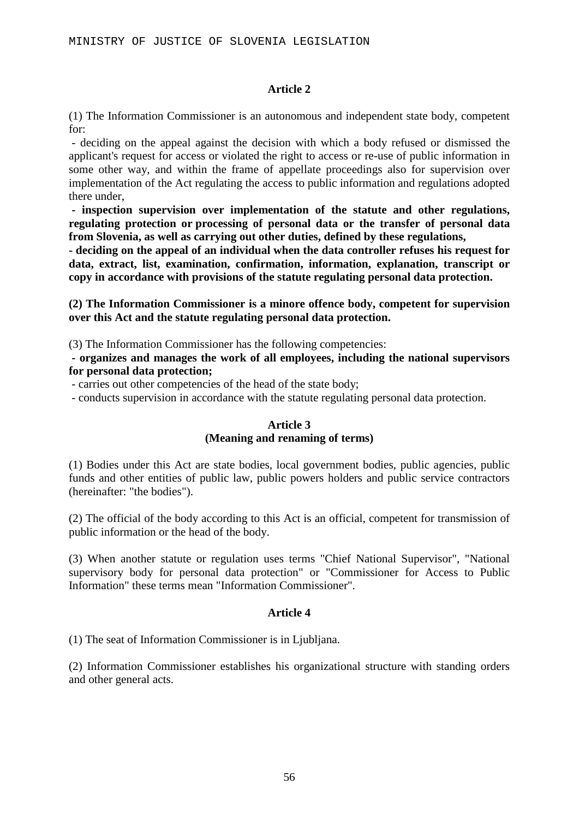### **Article 2**

(1) The Information Commissioner is an autonomous and independent state body, competent for:

- deciding on the appeal against the decision with which a body refused or dismissed the applicant's request for access or violated the right to access or re-use of public information in some other way, and within the frame of appellate proceedings also for supervision over implementation of the Act regulating the access to public information and regulations adopted there under,

**- inspection supervision over implementation of the statute and other regulations, regulating protection or processing of personal data or the transfer of personal data from Slovenia, as well as carrying out other duties, defined by these regulations,** 

**- deciding on the appeal of an individual when the data controller refuses his request for data, extract, list, examination, confirmation, information, explanation, transcript or copy in accordance with provisions of the statute regulating personal data protection.** 

**(2) The Information Commissioner is a minore offence body, competent for supervision over this Act and the statute regulating personal data protection.** 

(3) The Information Commissioner has the following competencies:

**- organizes and manages the work of all employees, including the national supervisors for personal data protection;** 

- carries out other competencies of the head of the state body;

- conducts supervision in accordance with the statute regulating personal data protection.

### **Article 3 (Meaning and renaming of terms)**

(1) Bodies under this Act are state bodies, local government bodies, public agencies, public funds and other entities of public law, public powers holders and public service contractors (hereinafter: "the bodies").

(2) The official of the body according to this Act is an official, competent for transmission of public information or the head of the body.

(3) When another statute or regulation uses terms "Chief National Supervisor", "National supervisory body for personal data protection" or "Commissioner for Access to Public Information" these terms mean "Information Commissioner".

### **Article 4**

(1) The seat of Information Commissioner is in Ljubljana.

(2) Information Commissioner establishes his organizational structure with standing orders and other general acts.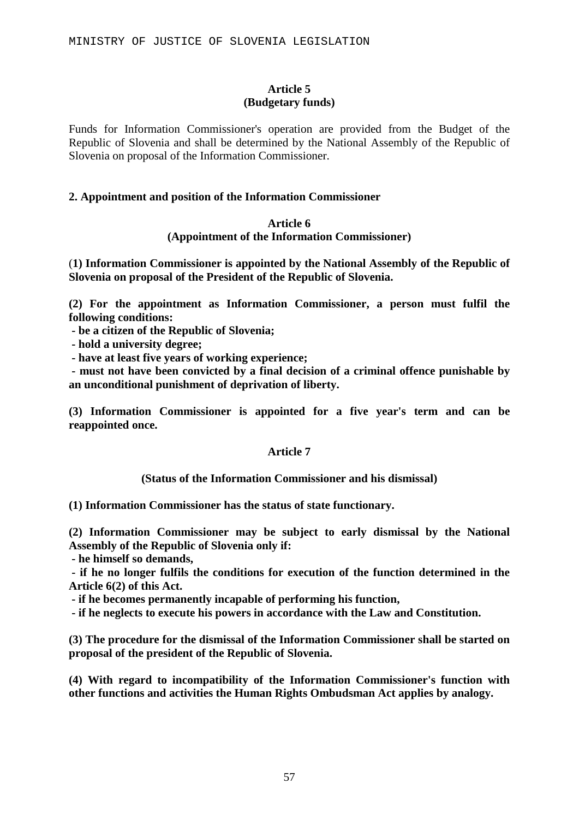### **Article 5 (Budgetary funds)**

Funds for Information Commissioner's operation are provided from the Budget of the Republic of Slovenia and shall be determined by the National Assembly of the Republic of Slovenia on proposal of the Information Commissioner.

### **2. Appointment and position of the Information Commissioner**

### **Article 6 (Appointment of the Information Commissioner)**

(**1) Information Commissioner is appointed by the National Assembly of the Republic of Slovenia on proposal of the President of the Republic of Slovenia.**

**(2) For the appointment as Information Commissioner, a person must fulfil the following conditions:** 

**- be a citizen of the Republic of Slovenia;** 

**- hold a university degree;** 

**- have at least five years of working experience;** 

**- must not have been convicted by a final decision of a criminal offence punishable by an unconditional punishment of deprivation of liberty.**

**(3) Information Commissioner is appointed for a five year's term and can be reappointed once.** 

### **Article 7**

### **(Status of the Information Commissioner and his dismissal)**

**(1) Information Commissioner has the status of state functionary.** 

**(2) Information Commissioner may be subject to early dismissal by the National Assembly of the Republic of Slovenia only if:** 

**- he himself so demands,** 

**- if he no longer fulfils the conditions for execution of the function determined in the Article 6(2) of this Act.** 

**- if he becomes permanently incapable of performing his function,** 

**- if he neglects to execute his powers in accordance with the Law and Constitution.**

**(3) The procedure for the dismissal of the Information Commissioner shall be started on proposal of the president of the Republic of Slovenia.** 

**(4) With regard to incompatibility of the Information Commissioner's function with other functions and activities the Human Rights Ombudsman Act applies by analogy.**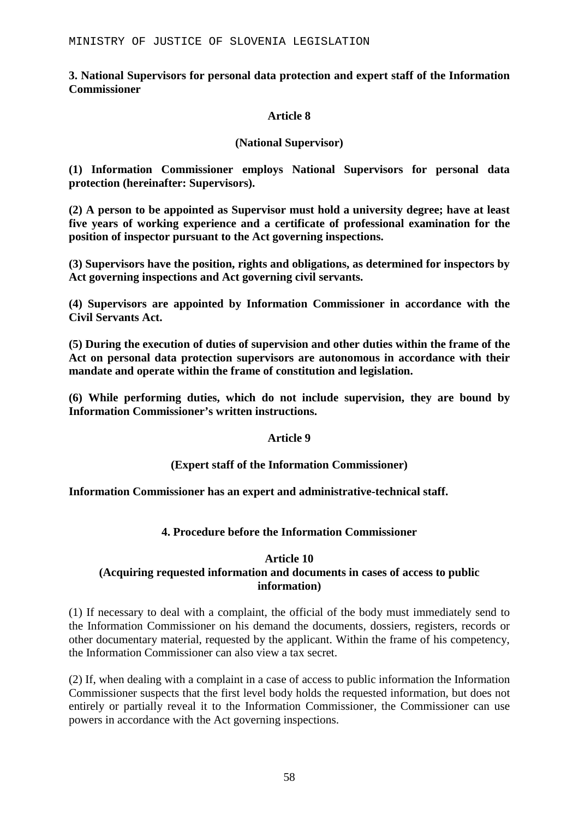### **3. National Supervisors for personal data protection and expert staff of the Information Commissioner**

### **Article 8**

### **(National Supervisor)**

**(1) Information Commissioner employs National Supervisors for personal data protection (hereinafter: Supervisors).**

**(2) A person to be appointed as Supervisor must hold a university degree; have at least five years of working experience and a certificate of professional examination for the position of inspector pursuant to the Act governing inspections.** 

**(3) Supervisors have the position, rights and obligations, as determined for inspectors by Act governing inspections and Act governing civil servants.** 

**(4) Supervisors are appointed by Information Commissioner in accordance with the Civil Servants Act.** 

**(5) During the execution of duties of supervision and other duties within the frame of the Act on personal data protection supervisors are autonomous in accordance with their mandate and operate within the frame of constitution and legislation.** 

**(6) While performing duties, which do not include supervision, they are bound by Information Commissioner's written instructions.** 

### **Article 9**

### **(Expert staff of the Information Commissioner)**

**Information Commissioner has an expert and administrative-technical staff.** 

### **4. Procedure before the Information Commissioner**

### **Article 10**

### **(Acquiring requested information and documents in cases of access to public information)**

(1) If necessary to deal with a complaint, the official of the body must immediately send to the Information Commissioner on his demand the documents, dossiers, registers, records or other documentary material, requested by the applicant. Within the frame of his competency, the Information Commissioner can also view a tax secret.

(2) If, when dealing with a complaint in a case of access to public information the Information Commissioner suspects that the first level body holds the requested information, but does not entirely or partially reveal it to the Information Commissioner, the Commissioner can use powers in accordance with the Act governing inspections.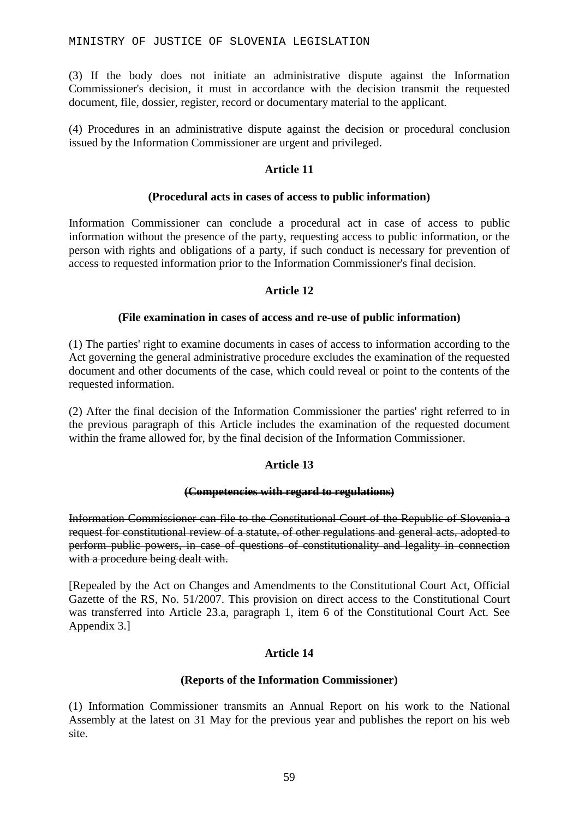(3) If the body does not initiate an administrative dispute against the Information Commissioner's decision, it must in accordance with the decision transmit the requested document, file, dossier, register, record or documentary material to the applicant.

(4) Procedures in an administrative dispute against the decision or procedural conclusion issued by the Information Commissioner are urgent and privileged.

### **Article 11**

### **(Procedural acts in cases of access to public information)**

Information Commissioner can conclude a procedural act in case of access to public information without the presence of the party, requesting access to public information, or the person with rights and obligations of a party, if such conduct is necessary for prevention of access to requested information prior to the Information Commissioner's final decision.

### **Article 12**

### **(File examination in cases of access and re-use of public information)**

(1) The parties' right to examine documents in cases of access to information according to the Act governing the general administrative procedure excludes the examination of the requested document and other documents of the case, which could reveal or point to the contents of the requested information.

(2) After the final decision of the Information Commissioner the parties' right referred to in the previous paragraph of this Article includes the examination of the requested document within the frame allowed for, by the final decision of the Information Commissioner.

### **Article 13**

### **(Competencies with regard to regulations)**

Information Commissioner can file to the Constitutional Court of the Republic of Slovenia a request for constitutional review of a statute, of other regulations and general acts, adopted to perform public powers, in case of questions of constitutionality and legality in connection with a procedure being dealt with.

[Repealed by the Act on Changes and Amendments to the Constitutional Court Act, Official Gazette of the RS, No. 51/2007. This provision on direct access to the Constitutional Court was transferred into Article 23.a, paragraph 1, item 6 of the Constitutional Court Act. See Appendix 3.]

### **Article 14**

### **(Reports of the Information Commissioner)**

(1) Information Commissioner transmits an Annual Report on his work to the National Assembly at the latest on 31 May for the previous year and publishes the report on his web site.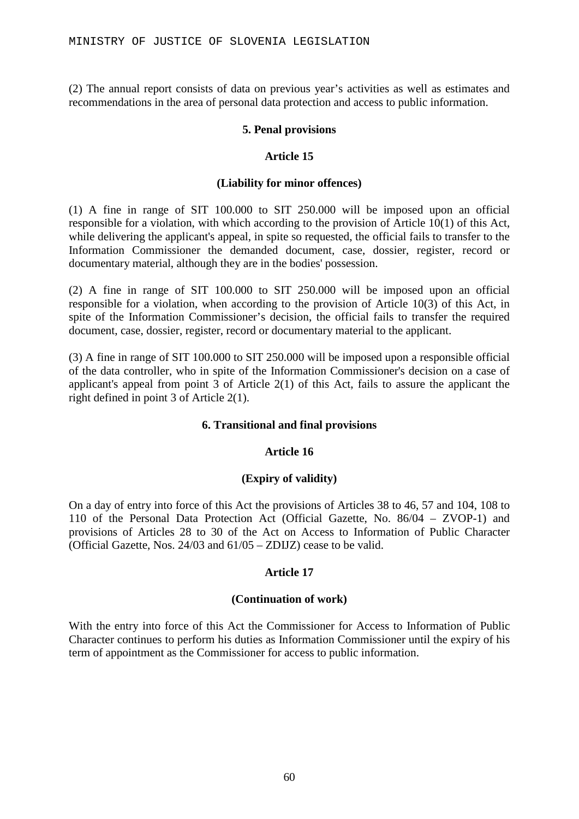(2) The annual report consists of data on previous year's activities as well as estimates and recommendations in the area of personal data protection and access to public information.

### **5. Penal provisions**

### **Article 15**

#### **(Liability for minor offences)**

(1) A fine in range of SIT 100.000 to SIT 250.000 will be imposed upon an official responsible for a violation, with which according to the provision of Article 10(1) of this Act, while delivering the applicant's appeal, in spite so requested, the official fails to transfer to the Information Commissioner the demanded document, case, dossier, register, record or documentary material, although they are in the bodies' possession.

(2) A fine in range of SIT 100.000 to SIT 250.000 will be imposed upon an official responsible for a violation, when according to the provision of Article 10(3) of this Act, in spite of the Information Commissioner's decision, the official fails to transfer the required document, case, dossier, register, record or documentary material to the applicant.

(3) A fine in range of SIT 100.000 to SIT 250.000 will be imposed upon a responsible official of the data controller, who in spite of the Information Commissioner's decision on a case of applicant's appeal from point 3 of Article 2(1) of this Act, fails to assure the applicant the right defined in point 3 of Article 2(1).

### **6. Transitional and final provisions**

### **Article 16**

### **(Expiry of validity)**

On a day of entry into force of this Act the provisions of Articles 38 to 46, 57 and 104, 108 to 110 of the Personal Data Protection Act (Official Gazette, No. 86/04 – ZVOP-1) and provisions of Articles 28 to 30 of the Act on Access to Information of Public Character (Official Gazette, Nos. 24/03 and 61/05 – ZDIJZ) cease to be valid.

### **Article 17**

#### **(Continuation of work)**

With the entry into force of this Act the Commissioner for Access to Information of Public Character continues to perform his duties as Information Commissioner until the expiry of his term of appointment as the Commissioner for access to public information.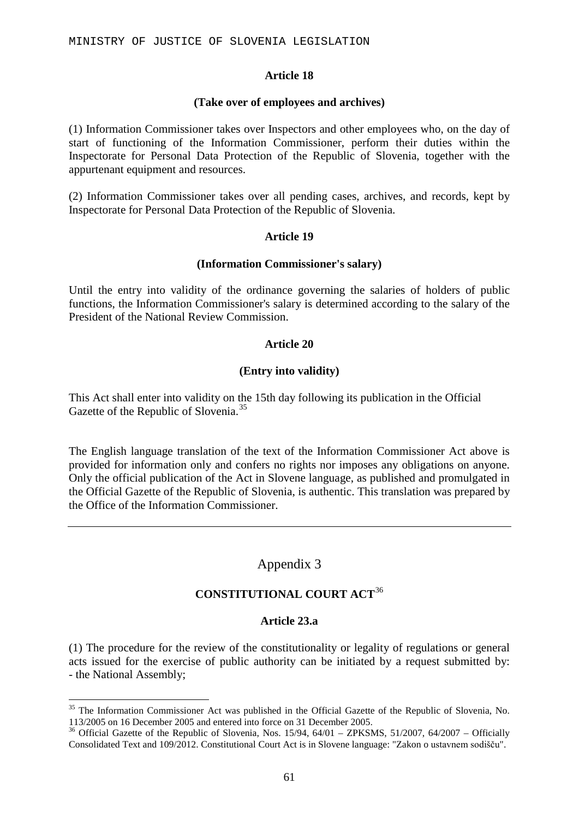### **Article 18**

#### **(Take over of employees and archives)**

(1) Information Commissioner takes over Inspectors and other employees who, on the day of start of functioning of the Information Commissioner, perform their duties within the Inspectorate for Personal Data Protection of the Republic of Slovenia, together with the appurtenant equipment and resources.

(2) Information Commissioner takes over all pending cases, archives, and records, kept by Inspectorate for Personal Data Protection of the Republic of Slovenia.

### **Article 19**

### **(Information Commissioner's salary)**

Until the entry into validity of the ordinance governing the salaries of holders of public functions, the Information Commissioner's salary is determined according to the salary of the President of the National Review Commission.

### **Article 20**

### **(Entry into validity)**

This Act shall enter into validity on the 15th day following its publication in the Official Gazette of the Republic of Slovenia.<sup>[35](#page-60-0)</sup>

The English language translation of the text of the Information Commissioner Act above is provided for information only and confers no rights nor imposes any obligations on anyone. Only the official publication of the Act in Slovene language, as published and promulgated in the Official Gazette of the Republic of Slovenia, is authentic. This translation was prepared by the Office of the Information Commissioner.

# Appendix 3

# **CONSTITUTIONAL COURT ACT**[36](#page-60-1)

### **Article 23.a**

(1) The procedure for the review of the constitutionality or legality of regulations or general acts issued for the exercise of public authority can be initiated by a request submitted by: - the National Assembly;

<span id="page-60-0"></span><sup>&</sup>lt;sup>35</sup> The Information Commissioner Act was published in the Official Gazette of the Republic of Slovenia, No. 113/2005 on 16 December 2005 and entered into force on 31 December 2005.

<span id="page-60-1"></span><sup>&</sup>lt;sup>36</sup> Official Gazette of the Republic of Slovenia, Nos.  $15/94$ ,  $64/01 - ZPKSMS$ ,  $51/2007$ ,  $64/2007 -$  Officially Consolidated Text and 109/2012. Constitutional Court Act is in Slovene language: "Zakon o ustavnem sodišču".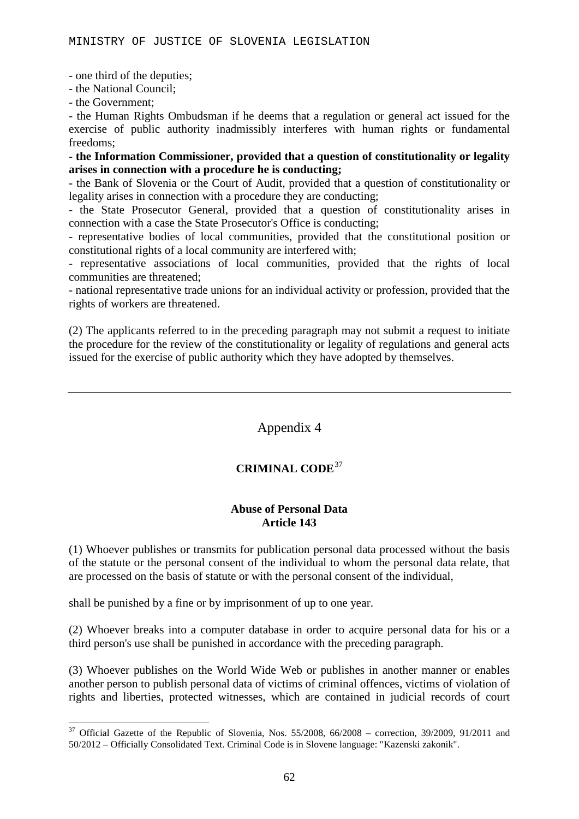- one third of the deputies;

- the National Council;

- the Government;

- the Human Rights Ombudsman if he deems that a regulation or general act issued for the exercise of public authority inadmissibly interferes with human rights or fundamental freedoms;

**- the Information Commissioner, provided that a question of constitutionality or legality arises in connection with a procedure he is conducting;**

- the Bank of Slovenia or the Court of Audit, provided that a question of constitutionality or legality arises in connection with a procedure they are conducting;

- the State Prosecutor General, provided that a question of constitutionality arises in connection with a case the State Prosecutor's Office is conducting;

- representative bodies of local communities, provided that the constitutional position or constitutional rights of a local community are interfered with;

- representative associations of local communities, provided that the rights of local communities are threatened;

- national representative trade unions for an individual activity or profession, provided that the rights of workers are threatened.

(2) The applicants referred to in the preceding paragraph may not submit a request to initiate the procedure for the review of the constitutionality or legality of regulations and general acts issued for the exercise of public authority which they have adopted by themselves.

### Appendix 4

### **CRIMINAL CODE**[37](#page-61-0)

#### **Abuse of Personal Data Article 143**

(1) Whoever publishes or transmits for publication personal data processed without the basis of the statute or the personal consent of the individual to whom the personal data relate, that are processed on the basis of statute or with the personal consent of the individual,

shall be punished by a fine or by imprisonment of up to one year.

(2) Whoever breaks into a computer database in order to acquire personal data for his or a third person's use shall be punished in accordance with the preceding paragraph.

(3) Whoever publishes on the World Wide Web or publishes in another manner or enables another person to publish personal data of victims of criminal offences, victims of violation of rights and liberties, protected witnesses, which are contained in judicial records of court

<span id="page-61-0"></span> $37$  Official Gazette of the Republic of Slovenia, Nos. 55/2008, 66/2008 – correction, 39/2009, 91/2011 and 50/2012 – Officially Consolidated Text. Criminal Code is in Slovene language: "Kazenski zakonik".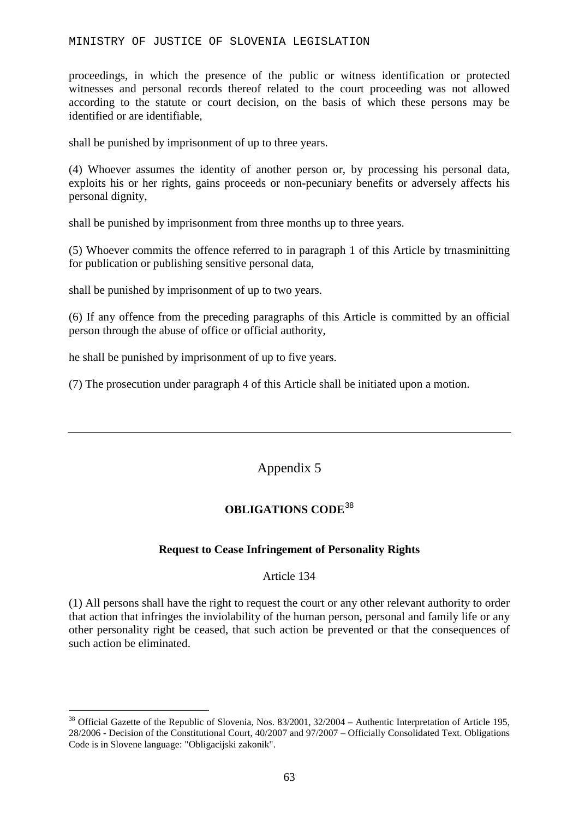#### MINISTRY OF JUSTICE OF SLOVENIA LEGISLATION

proceedings, in which the presence of the public or witness identification or protected witnesses and personal records thereof related to the court proceeding was not allowed according to the statute or court decision, on the basis of which these persons may be identified or are identifiable,

shall be punished by imprisonment of up to three years.

(4) Whoever assumes the identity of another person or, by processing his personal data, exploits his or her rights, gains proceeds or non-pecuniary benefits or adversely affects his personal dignity,

shall be punished by imprisonment from three months up to three years.

(5) Whoever commits the offence referred to in paragraph 1 of this Article by trnasminitting for publication or publishing sensitive personal data,

shall be punished by imprisonment of up to two years.

(6) If any offence from the preceding paragraphs of this Article is committed by an official person through the abuse of office or official authority,

he shall be punished by imprisonment of up to five years.

(7) The prosecution under paragraph 4 of this Article shall be initiated upon a motion.

# Appendix 5

# **OBLIGATIONS CODE**[38](#page-62-0)

### **Request to Cease Infringement of Personality Rights**

Article 134

(1) All persons shall have the right to request the court or any other relevant authority to order that action that infringes the inviolability of the human person, personal and family life or any other personality right be ceased, that such action be prevented or that the consequences of such action be eliminated.

<span id="page-62-0"></span><sup>&</sup>lt;sup>38</sup> Official Gazette of the Republic of Slovenia, Nos. 83/2001, 32/2004 – Authentic Interpretation of Article 195, 28/2006 - Decision of the Constitutional Court, 40/2007 and 97/2007 – Officially Consolidated Text. Obligations Code is in Slovene language: "Obligacijski zakonik".